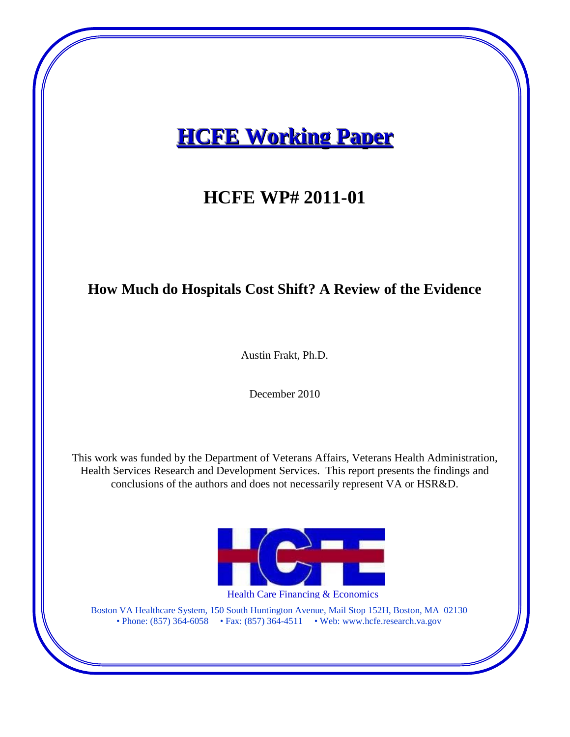# **HCFE Working Paper**

## **HCFE WP# 2011-01**

### **How Much do Hospitals Cost Shift? A Review of the Evidence**

Austin Frakt, Ph.D.

December 2010

This work was funded by the Department of Veterans Affairs, Veterans Health Administration, Health Services Research and Development Services. This report presents the findings and conclusions of the authors and does not necessarily represent VA or HSR&D.



Health Care Financing & Economics

Boston VA Healthcare System, 150 South Huntington Avenue, Mail Stop 152H, Boston, MA 02130 • Phone: (857) 364-6058 • Fax: (857) 364-4511 • Web: www.hcfe.research.va.gov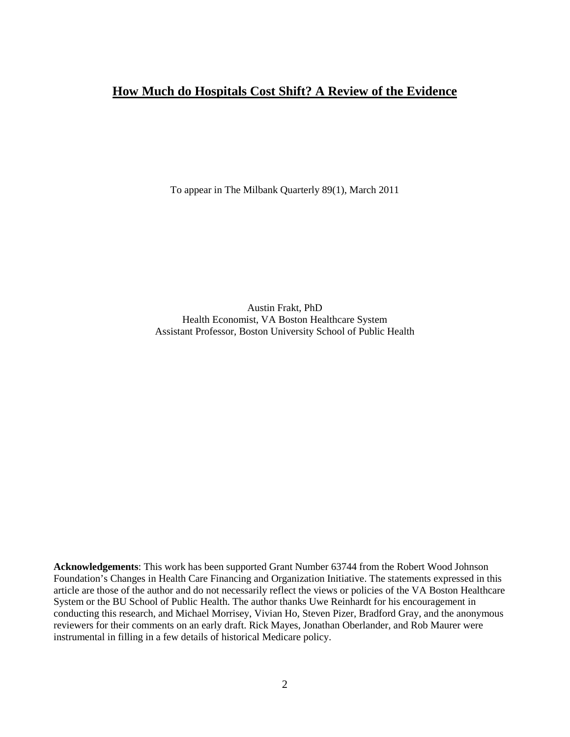### **How Much do Hospitals Cost Shift? A Review of the Evidence**

To appear in The Milbank Quarterly 89(1), March 2011

Austin Frakt, PhD Health Economist, VA Boston Healthcare System Assistant Professor, Boston University School of Public Health

**Acknowledgements**: This work has been supported Grant Number 63744 from the Robert Wood Johnson Foundation's Changes in Health Care Financing and Organization Initiative. The statements expressed in this article are those of the author and do not necessarily reflect the views or policies of the VA Boston Healthcare System or the BU School of Public Health. The author thanks Uwe Reinhardt for his encouragement in conducting this research, and Michael Morrisey, Vivian Ho, Steven Pizer, Bradford Gray, and the anonymous reviewers for their comments on an early draft. Rick Mayes, Jonathan Oberlander, and Rob Maurer were instrumental in filling in a few details of historical Medicare policy.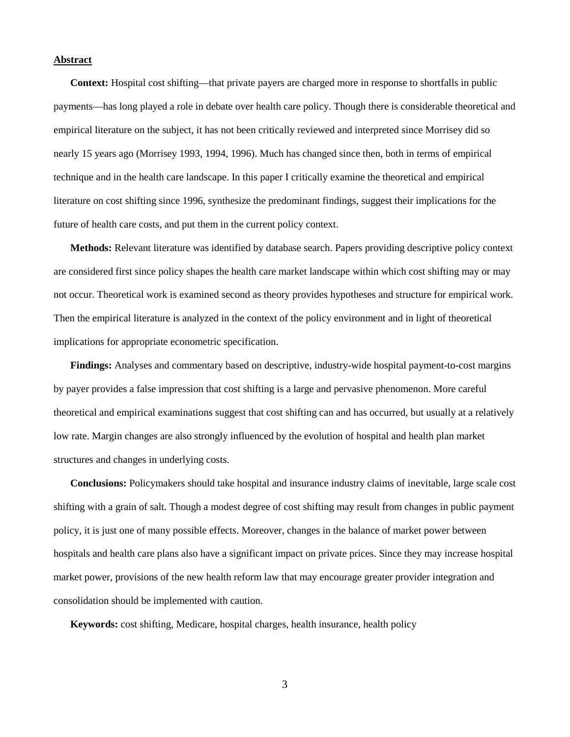#### **Abstract**

**Context:** Hospital cost shifting—that private payers are charged more in response to shortfalls in public payments—has long played a role in debate over health care policy. Though there is considerable theoretical and empirical literature on the subject, it has not been critically reviewed and interpreted since Morrisey did so nearly 15 years ago (Morrisey 1993, 1994, 1996). Much has changed since then, both in terms of empirical technique and in the health care landscape. In this paper I critically examine the theoretical and empirical literature on cost shifting since 1996, synthesize the predominant findings, suggest their implications for the future of health care costs, and put them in the current policy context.

**Methods:** Relevant literature was identified by database search. Papers providing descriptive policy context are considered first since policy shapes the health care market landscape within which cost shifting may or may not occur. Theoretical work is examined second as theory provides hypotheses and structure for empirical work. Then the empirical literature is analyzed in the context of the policy environment and in light of theoretical implications for appropriate econometric specification.

**Findings:** Analyses and commentary based on descriptive, industry-wide hospital payment-to-cost margins by payer provides a false impression that cost shifting is a large and pervasive phenomenon. More careful theoretical and empirical examinations suggest that cost shifting can and has occurred, but usually at a relatively low rate. Margin changes are also strongly influenced by the evolution of hospital and health plan market structures and changes in underlying costs.

**Conclusions:** Policymakers should take hospital and insurance industry claims of inevitable, large scale cost shifting with a grain of salt. Though a modest degree of cost shifting may result from changes in public payment policy, it is just one of many possible effects. Moreover, changes in the balance of market power between hospitals and health care plans also have a significant impact on private prices. Since they may increase hospital market power, provisions of the new health reform law that may encourage greater provider integration and consolidation should be implemented with caution.

**Keywords:** cost shifting, Medicare, hospital charges, health insurance, health policy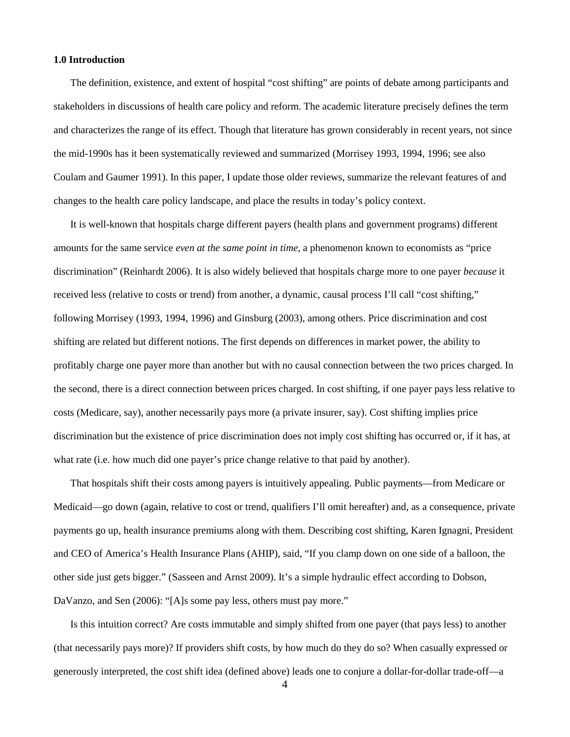#### **1.0 Introduction**

The definition, existence, and extent of hospital "cost shifting" are points of debate among participants and stakeholders in discussions of health care policy and reform. The academic literature precisely defines the term and characterizes the range of its effect. Though that literature has grown considerably in recent years, not since the mid-1990s has it been systematically reviewed and summarized (Morrisey 1993, 1994, 1996; see also Coulam and Gaumer 1991). In this paper, I update those older reviews, summarize the relevant features of and changes to the health care policy landscape, and place the results in today's policy context.

It is well-known that hospitals charge different payers (health plans and government programs) different amounts for the same service *even at the same point in time*, a phenomenon known to economists as "price discrimination" (Reinhardt 2006). It is also widely believed that hospitals charge more to one payer *because* it received less (relative to costs or trend) from another, a dynamic, causal process I'll call "cost shifting," following Morrisey (1993, 1994, 1996) and Ginsburg (2003), among others. Price discrimination and cost shifting are related but different notions. The first depends on differences in market power, the ability to profitably charge one payer more than another but with no causal connection between the two prices charged. In the second, there is a direct connection between prices charged. In cost shifting, if one payer pays less relative to costs (Medicare, say), another necessarily pays more (a private insurer, say). Cost shifting implies price discrimination but the existence of price discrimination does not imply cost shifting has occurred or, if it has, at what rate (i.e. how much did one payer's price change relative to that paid by another).

That hospitals shift their costs among payers is intuitively appealing. Public payments—from Medicare or Medicaid—go down (again, relative to cost or trend, qualifiers I'll omit hereafter) and, as a consequence, private payments go up, health insurance premiums along with them. Describing cost shifting, Karen Ignagni, President and CEO of America's Health Insurance Plans (AHIP), said, "If you clamp down on one side of a balloon, the other side just gets bigger." (Sasseen and Arnst 2009). It's a simple hydraulic effect according to Dobson, DaVanzo, and Sen (2006): "[A]s some pay less, others must pay more."

Is this intuition correct? Are costs immutable and simply shifted from one payer (that pays less) to another (that necessarily pays more)? If providers shift costs, by how much do they do so? When casually expressed or generously interpreted, the cost shift idea (defined above) leads one to conjure a dollar-for-dollar trade-off—a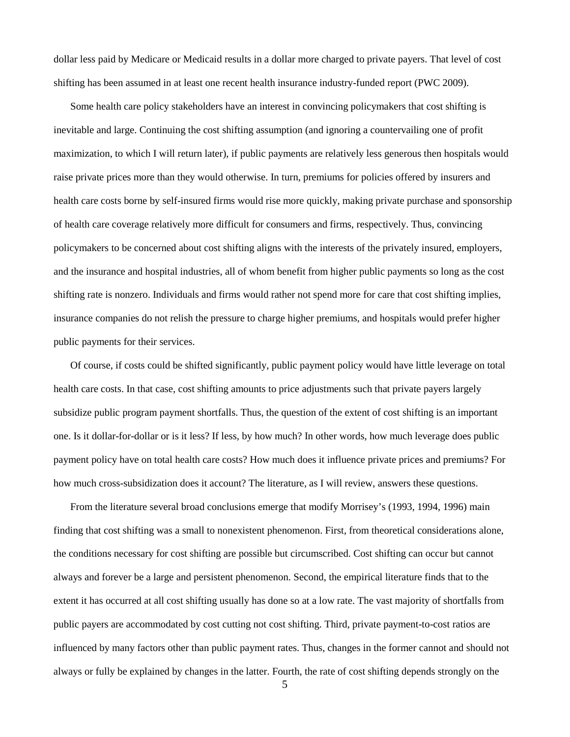dollar less paid by Medicare or Medicaid results in a dollar more charged to private payers. That level of cost shifting has been assumed in at least one recent health insurance industry-funded report (PWC 2009).

Some health care policy stakeholders have an interest in convincing policymakers that cost shifting is inevitable and large. Continuing the cost shifting assumption (and ignoring a countervailing one of profit maximization, to which I will return later), if public payments are relatively less generous then hospitals would raise private prices more than they would otherwise. In turn, premiums for policies offered by insurers and health care costs borne by self-insured firms would rise more quickly, making private purchase and sponsorship of health care coverage relatively more difficult for consumers and firms, respectively. Thus, convincing policymakers to be concerned about cost shifting aligns with the interests of the privately insured, employers, and the insurance and hospital industries, all of whom benefit from higher public payments so long as the cost shifting rate is nonzero. Individuals and firms would rather not spend more for care that cost shifting implies, insurance companies do not relish the pressure to charge higher premiums, and hospitals would prefer higher public payments for their services.

Of course, if costs could be shifted significantly, public payment policy would have little leverage on total health care costs. In that case, cost shifting amounts to price adjustments such that private payers largely subsidize public program payment shortfalls. Thus, the question of the extent of cost shifting is an important one. Is it dollar-for-dollar or is it less? If less, by how much? In other words, how much leverage does public payment policy have on total health care costs? How much does it influence private prices and premiums? For how much cross-subsidization does it account? The literature, as I will review, answers these questions.

From the literature several broad conclusions emerge that modify Morrisey's (1993, 1994, 1996) main finding that cost shifting was a small to nonexistent phenomenon. First, from theoretical considerations alone, the conditions necessary for cost shifting are possible but circumscribed. Cost shifting can occur but cannot always and forever be a large and persistent phenomenon. Second, the empirical literature finds that to the extent it has occurred at all cost shifting usually has done so at a low rate. The vast majority of shortfalls from public payers are accommodated by cost cutting not cost shifting. Third, private payment-to-cost ratios are influenced by many factors other than public payment rates. Thus, changes in the former cannot and should not always or fully be explained by changes in the latter. Fourth, the rate of cost shifting depends strongly on the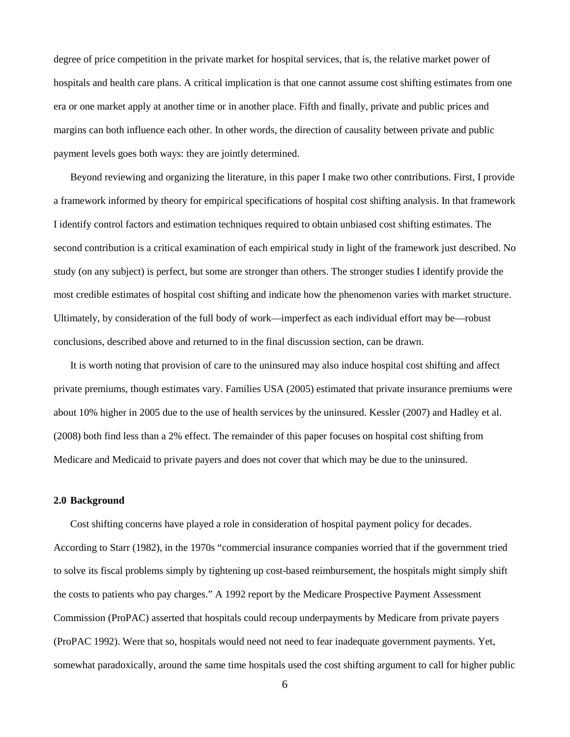degree of price competition in the private market for hospital services, that is, the relative market power of hospitals and health care plans. A critical implication is that one cannot assume cost shifting estimates from one era or one market apply at another time or in another place. Fifth and finally, private and public prices and margins can both influence each other. In other words, the direction of causality between private and public payment levels goes both ways: they are jointly determined.

Beyond reviewing and organizing the literature, in this paper I make two other contributions. First, I provide a framework informed by theory for empirical specifications of hospital cost shifting analysis. In that framework I identify control factors and estimation techniques required to obtain unbiased cost shifting estimates. The second contribution is a critical examination of each empirical study in light of the framework just described. No study (on any subject) is perfect, but some are stronger than others. The stronger studies I identify provide the most credible estimates of hospital cost shifting and indicate how the phenomenon varies with market structure. Ultimately, by consideration of the full body of work—imperfect as each individual effort may be—robust conclusions, described above and returned to in the final discussion section, can be drawn.

It is worth noting that provision of care to the uninsured may also induce hospital cost shifting and affect private premiums, though estimates vary. Families USA (2005) estimated that private insurance premiums were about 10% higher in 2005 due to the use of health services by the uninsured. Kessler (2007) and Hadley et al. (2008) both find less than a 2% effect. The remainder of this paper focuses on hospital cost shifting from Medicare and Medicaid to private payers and does not cover that which may be due to the uninsured.

#### **2.0 Background**

Cost shifting concerns have played a role in consideration of hospital payment policy for decades. According to Starr (1982), in the 1970s "commercial insurance companies worried that if the government tried to solve its fiscal problems simply by tightening up cost-based reimbursement, the hospitals might simply shift the costs to patients who pay charges." A 1992 report by the Medicare Prospective Payment Assessment Commission (ProPAC) asserted that hospitals could recoup underpayments by Medicare from private payers (ProPAC 1992). Were that so, hospitals would need not need to fear inadequate government payments. Yet, somewhat paradoxically, around the same time hospitals used the cost shifting argument to call for higher public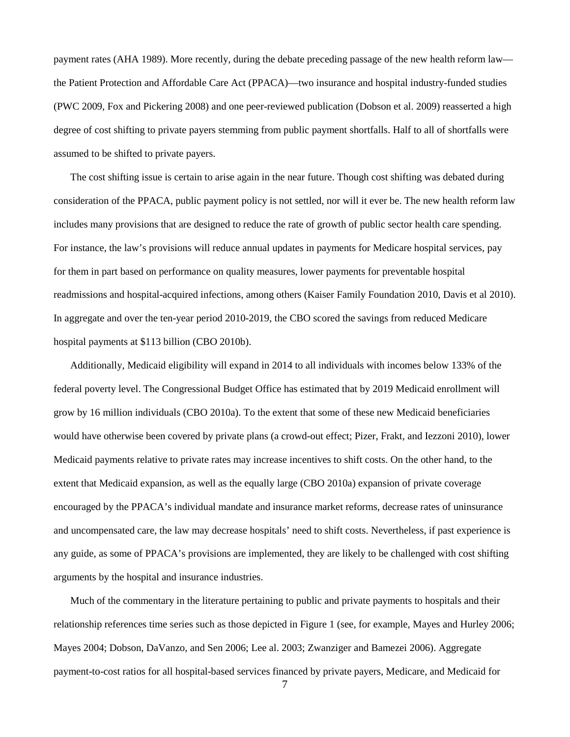payment rates (AHA 1989). More recently, during the debate preceding passage of the new health reform law the Patient Protection and Affordable Care Act (PPACA)—two insurance and hospital industry-funded studies (PWC 2009, Fox and Pickering 2008) and one peer-reviewed publication (Dobson et al. 2009) reasserted a high degree of cost shifting to private payers stemming from public payment shortfalls. Half to all of shortfalls were assumed to be shifted to private payers.

The cost shifting issue is certain to arise again in the near future. Though cost shifting was debated during consideration of the PPACA, public payment policy is not settled, nor will it ever be. The new health reform law includes many provisions that are designed to reduce the rate of growth of public sector health care spending. For instance, the law's provisions will reduce annual updates in payments for Medicare hospital services, pay for them in part based on performance on quality measures, lower payments for preventable hospital readmissions and hospital-acquired infections, among others (Kaiser Family Foundation 2010, Davis et al 2010). In aggregate and over the ten-year period 2010-2019, the CBO scored the savings from reduced Medicare hospital payments at \$113 billion (CBO 2010b).

Additionally, Medicaid eligibility will expand in 2014 to all individuals with incomes below 133% of the federal poverty level. The Congressional Budget Office has estimated that by 2019 Medicaid enrollment will grow by 16 million individuals (CBO 2010a). To the extent that some of these new Medicaid beneficiaries would have otherwise been covered by private plans (a crowd-out effect; Pizer, Frakt, and Iezzoni 2010), lower Medicaid payments relative to private rates may increase incentives to shift costs. On the other hand, to the extent that Medicaid expansion, as well as the equally large (CBO 2010a) expansion of private coverage encouraged by the PPACA's individual mandate and insurance market reforms, decrease rates of uninsurance and uncompensated care, the law may decrease hospitals' need to shift costs. Nevertheless, if past experience is any guide, as some of PPACA's provisions are implemented, they are likely to be challenged with cost shifting arguments by the hospital and insurance industries.

Much of the commentary in the literature pertaining to public and private payments to hospitals and their relationship references time series such as those depicted in Figure 1 (see, for example, Mayes and Hurley 2006; Mayes 2004; Dobson, DaVanzo, and Sen 2006; Lee al. 2003; Zwanziger and Bamezei 2006). Aggregate payment-to-cost ratios for all hospital-based services financed by private payers, Medicare, and Medicaid for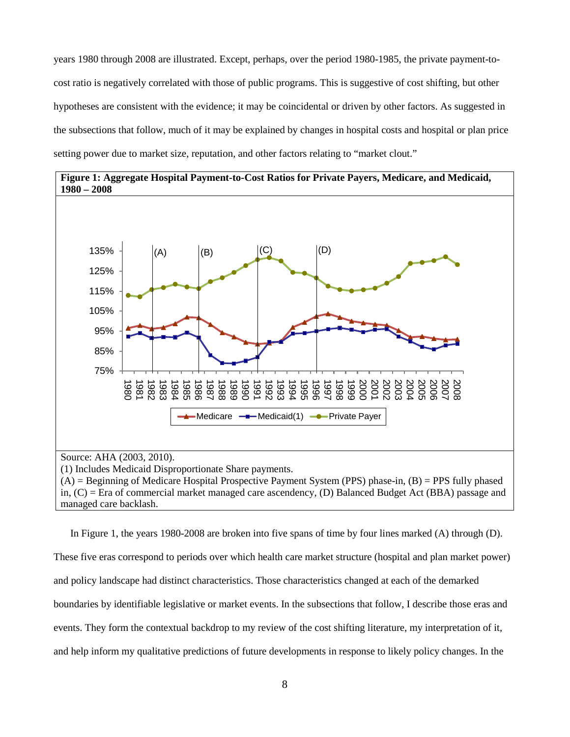years 1980 through 2008 are illustrated. Except, perhaps, over the period 1980-1985, the private payment-tocost ratio is negatively correlated with those of public programs. This is suggestive of cost shifting, but other hypotheses are consistent with the evidence; it may be coincidental or driven by other factors. As suggested in the subsections that follow, much of it may be explained by changes in hospital costs and hospital or plan price setting power due to market size, reputation, and other factors relating to "market clout."



 $(A)$  = Beginning of Medicare Hospital Prospective Payment System (PPS) phase-in,  $(B)$  = PPS fully phased in, (C) = Era of commercial market managed care ascendency, (D) Balanced Budget Act (BBA) passage and managed care backlash.

In Figure 1, the years 1980-2008 are broken into five spans of time by four lines marked (A) through (D). These five eras correspond to periods over which health care market structure (hospital and plan market power) and policy landscape had distinct characteristics. Those characteristics changed at each of the demarked boundaries by identifiable legislative or market events. In the subsections that follow, I describe those eras and events. They form the contextual backdrop to my review of the cost shifting literature, my interpretation of it, and help inform my qualitative predictions of future developments in response to likely policy changes. In the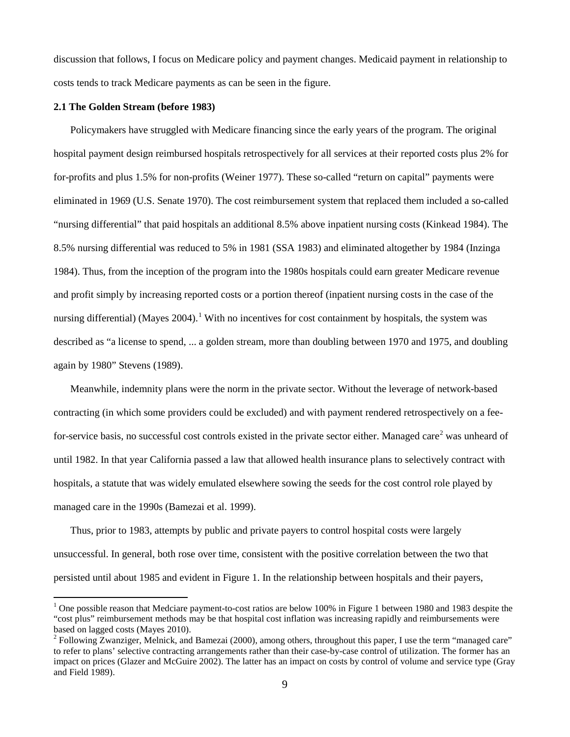discussion that follows, I focus on Medicare policy and payment changes. Medicaid payment in relationship to costs tends to track Medicare payments as can be seen in the figure.

#### **2.1 The Golden Stream (before 1983)**

Policymakers have struggled with Medicare financing since the early years of the program. The original hospital payment design reimbursed hospitals retrospectively for all services at their reported costs plus 2% for for-profits and plus 1.5% for non-profits (Weiner 1977). These so-called "return on capital" payments were eliminated in 1969 (U.S. Senate 1970). The cost reimbursement system that replaced them included a so-called "nursing differential" that paid hospitals an additional 8.5% above inpatient nursing costs (Kinkead 1984). The 8.5% nursing differential was reduced to 5% in 1981 (SSA 1983) and eliminated altogether by 1984 (Inzinga 1984). Thus, from the inception of the program into the 1980s hospitals could earn greater Medicare revenue and profit simply by increasing reported costs or a portion thereof (inpatient nursing costs in the case of the nursing differential) (Mayes 2004).<sup>[1](#page-8-0)</sup> With no incentives for cost containment by hospitals, the system was described as "a license to spend, ... a golden stream, more than doubling between 1970 and 1975, and doubling again by 1980" Stevens (1989).

Meanwhile, indemnity plans were the norm in the private sector. Without the leverage of network-based contracting (in which some providers could be excluded) and with payment rendered retrospectively on a fee-for-service basis, no successful cost controls existed in the private sector either. Managed care<sup>[2](#page-8-1)</sup> was unheard of until 1982. In that year California passed a law that allowed health insurance plans to selectively contract with hospitals, a statute that was widely emulated elsewhere sowing the seeds for the cost control role played by managed care in the 1990s (Bamezai et al. 1999).

Thus, prior to 1983, attempts by public and private payers to control hospital costs were largely unsuccessful. In general, both rose over time, consistent with the positive correlation between the two that persisted until about 1985 and evident in Figure 1. In the relationship between hospitals and their payers,

<span id="page-8-0"></span><sup>&</sup>lt;sup>1</sup> One possible reason that Medciare payment-to-cost ratios are below 100% in Figure 1 between 1980 and 1983 despite the "cost plus" reimbursement methods may be that hospital cost inflation was increasing rapidly and reimbursements were based on lagged costs (Mayes 2010).<br><sup>2</sup> Following Zwanziger, Melnick, and Bamezai (2000), among others, throughout this paper, I use the term "managed care"

<span id="page-8-1"></span>to refer to plans' selective contracting arrangements rather than their case-by-case control of utilization. The former has an impact on prices (Glazer and McGuire 2002). The latter has an impact on costs by control of volume and service type (Gray and Field 1989).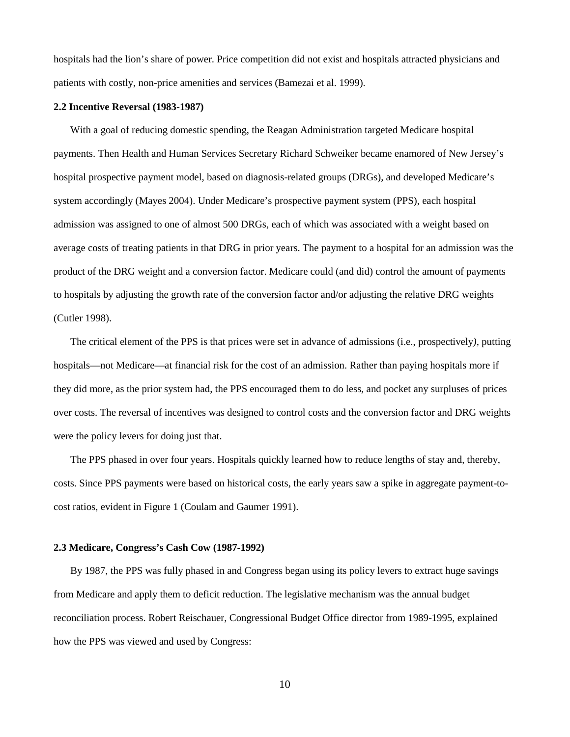hospitals had the lion's share of power. Price competition did not exist and hospitals attracted physicians and patients with costly, non-price amenities and services (Bamezai et al. 1999).

#### **2.2 Incentive Reversal (1983-1987)**

With a goal of reducing domestic spending, the Reagan Administration targeted Medicare hospital payments. Then Health and Human Services Secretary Richard Schweiker became enamored of New Jersey's hospital prospective payment model, based on diagnosis-related groups (DRGs), and developed Medicare's system accordingly (Mayes 2004). Under Medicare's prospective payment system (PPS), each hospital admission was assigned to one of almost 500 DRGs, each of which was associated with a weight based on average costs of treating patients in that DRG in prior years. The payment to a hospital for an admission was the product of the DRG weight and a conversion factor. Medicare could (and did) control the amount of payments to hospitals by adjusting the growth rate of the conversion factor and/or adjusting the relative DRG weights (Cutler 1998).

The critical element of the PPS is that prices were set in advance of admissions (i.e., prospectively*),* putting hospitals—not Medicare—at financial risk for the cost of an admission. Rather than paying hospitals more if they did more, as the prior system had, the PPS encouraged them to do less, and pocket any surpluses of prices over costs. The reversal of incentives was designed to control costs and the conversion factor and DRG weights were the policy levers for doing just that.

The PPS phased in over four years. Hospitals quickly learned how to reduce lengths of stay and, thereby, costs. Since PPS payments were based on historical costs, the early years saw a spike in aggregate payment-tocost ratios, evident in Figure 1 (Coulam and Gaumer 1991).

#### **2.3 Medicare, Congress's Cash Cow (1987-1992)**

By 1987, the PPS was fully phased in and Congress began using its policy levers to extract huge savings from Medicare and apply them to deficit reduction. The legislative mechanism was the annual budget reconciliation process. Robert Reischauer, Congressional Budget Office director from 1989-1995, explained how the PPS was viewed and used by Congress: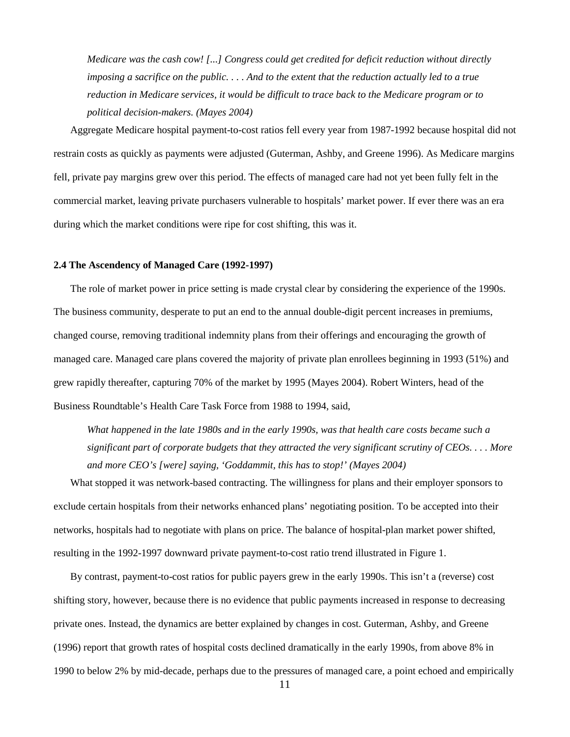*Medicare was the cash cow! [...] Congress could get credited for deficit reduction without directly imposing a sacrifice on the public. . . . And to the extent that the reduction actually led to a true reduction in Medicare services, it would be difficult to trace back to the Medicare program or to political decision-makers. (Mayes 2004)*

Aggregate Medicare hospital payment-to-cost ratios fell every year from 1987-1992 because hospital did not restrain costs as quickly as payments were adjusted (Guterman, Ashby, and Greene 1996). As Medicare margins fell, private pay margins grew over this period. The effects of managed care had not yet been fully felt in the commercial market, leaving private purchasers vulnerable to hospitals' market power. If ever there was an era during which the market conditions were ripe for cost shifting, this was it.

#### **2.4 The Ascendency of Managed Care (1992-1997)**

The role of market power in price setting is made crystal clear by considering the experience of the 1990s. The business community, desperate to put an end to the annual double-digit percent increases in premiums, changed course, removing traditional indemnity plans from their offerings and encouraging the growth of managed care. Managed care plans covered the majority of private plan enrollees beginning in 1993 (51%) and grew rapidly thereafter, capturing 70% of the market by 1995 (Mayes 2004). Robert Winters, head of the Business Roundtable's Health Care Task Force from 1988 to 1994, said,

*What happened in the late 1980s and in the early 1990s, was that health care costs became such a significant part of corporate budgets that they attracted the very significant scrutiny of CEOs. . . . More and more CEO's [were] saying, 'Goddammit, this has to stop!' (Mayes 2004)*

What stopped it was network-based contracting. The willingness for plans and their employer sponsors to exclude certain hospitals from their networks enhanced plans' negotiating position. To be accepted into their networks, hospitals had to negotiate with plans on price. The balance of hospital-plan market power shifted, resulting in the 1992-1997 downward private payment-to-cost ratio trend illustrated in Figure 1.

By contrast, payment-to-cost ratios for public payers grew in the early 1990s. This isn't a (reverse) cost shifting story, however, because there is no evidence that public payments increased in response to decreasing private ones. Instead, the dynamics are better explained by changes in cost. Guterman, Ashby, and Greene (1996) report that growth rates of hospital costs declined dramatically in the early 1990s, from above 8% in 1990 to below 2% by mid-decade, perhaps due to the pressures of managed care, a point echoed and empirically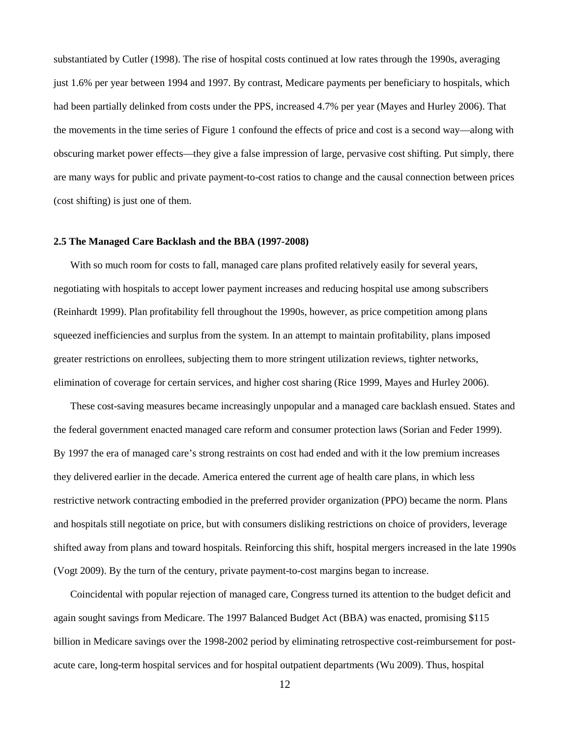substantiated by Cutler (1998). The rise of hospital costs continued at low rates through the 1990s, averaging just 1.6% per year between 1994 and 1997. By contrast, Medicare payments per beneficiary to hospitals, which had been partially delinked from costs under the PPS, increased 4.7% per year (Mayes and Hurley 2006). That the movements in the time series of Figure 1 confound the effects of price and cost is a second way—along with obscuring market power effects—they give a false impression of large, pervasive cost shifting. Put simply, there are many ways for public and private payment-to-cost ratios to change and the causal connection between prices (cost shifting) is just one of them.

#### **2.5 The Managed Care Backlash and the BBA (1997-2008)**

With so much room for costs to fall, managed care plans profited relatively easily for several years, negotiating with hospitals to accept lower payment increases and reducing hospital use among subscribers (Reinhardt 1999). Plan profitability fell throughout the 1990s, however, as price competition among plans squeezed inefficiencies and surplus from the system. In an attempt to maintain profitability, plans imposed greater restrictions on enrollees, subjecting them to more stringent utilization reviews, tighter networks, elimination of coverage for certain services, and higher cost sharing (Rice 1999, Mayes and Hurley 2006).

These cost-saving measures became increasingly unpopular and a managed care backlash ensued. States and the federal government enacted managed care reform and consumer protection laws (Sorian and Feder 1999). By 1997 the era of managed care's strong restraints on cost had ended and with it the low premium increases they delivered earlier in the decade. America entered the current age of health care plans, in which less restrictive network contracting embodied in the preferred provider organization (PPO) became the norm. Plans and hospitals still negotiate on price, but with consumers disliking restrictions on choice of providers, leverage shifted away from plans and toward hospitals. Reinforcing this shift, hospital mergers increased in the late 1990s (Vogt 2009). By the turn of the century, private payment-to-cost margins began to increase.

Coincidental with popular rejection of managed care, Congress turned its attention to the budget deficit and again sought savings from Medicare. The 1997 Balanced Budget Act (BBA) was enacted, promising \$115 billion in Medicare savings over the 1998-2002 period by eliminating retrospective cost-reimbursement for postacute care, long-term hospital services and for hospital outpatient departments (Wu 2009). Thus, hospital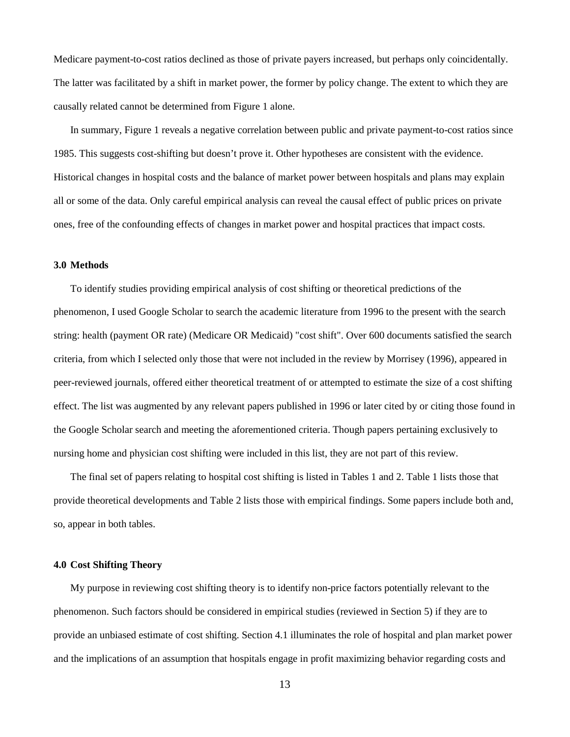Medicare payment-to-cost ratios declined as those of private payers increased, but perhaps only coincidentally. The latter was facilitated by a shift in market power, the former by policy change. The extent to which they are causally related cannot be determined from Figure 1 alone.

In summary, Figure 1 reveals a negative correlation between public and private payment-to-cost ratios since 1985. This suggests cost-shifting but doesn't prove it. Other hypotheses are consistent with the evidence. Historical changes in hospital costs and the balance of market power between hospitals and plans may explain all or some of the data. Only careful empirical analysis can reveal the causal effect of public prices on private ones, free of the confounding effects of changes in market power and hospital practices that impact costs.

#### **3.0 Methods**

To identify studies providing empirical analysis of cost shifting or theoretical predictions of the phenomenon, I used Google Scholar to search the academic literature from 1996 to the present with the search string: health (payment OR rate) (Medicare OR Medicaid) "cost shift". Over 600 documents satisfied the search criteria, from which I selected only those that were not included in the review by Morrisey (1996), appeared in peer-reviewed journals, offered either theoretical treatment of or attempted to estimate the size of a cost shifting effect. The list was augmented by any relevant papers published in 1996 or later cited by or citing those found in the Google Scholar search and meeting the aforementioned criteria. Though papers pertaining exclusively to nursing home and physician cost shifting were included in this list, they are not part of this review.

The final set of papers relating to hospital cost shifting is listed in Tables 1 and 2. Table 1 lists those that provide theoretical developments and Table 2 lists those with empirical findings. Some papers include both and, so, appear in both tables.

#### **4.0 Cost Shifting Theory**

My purpose in reviewing cost shifting theory is to identify non-price factors potentially relevant to the phenomenon. Such factors should be considered in empirical studies (reviewed in Section 5) if they are to provide an unbiased estimate of cost shifting. Section 4.1 illuminates the role of hospital and plan market power and the implications of an assumption that hospitals engage in profit maximizing behavior regarding costs and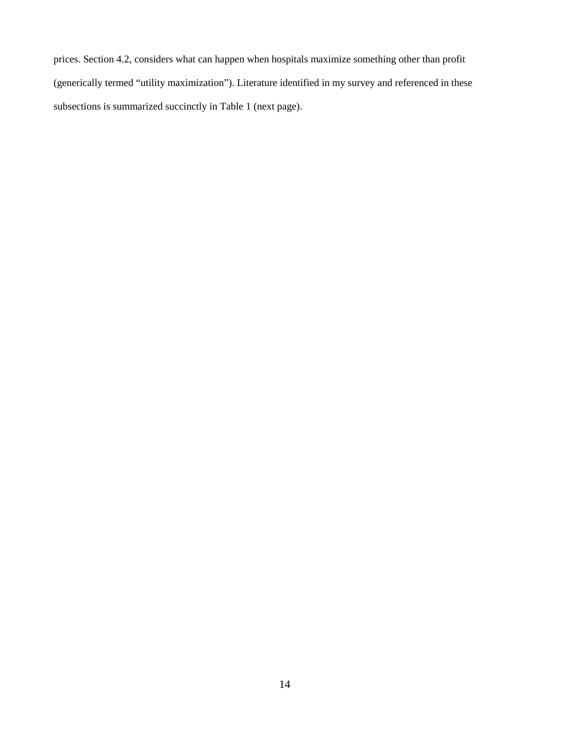prices. Section 4.2, considers what can happen when hospitals maximize something other than profit (generically termed "utility maximization"). Literature identified in my survey and referenced in these subsections is summarized succinctly in Table 1 (next page).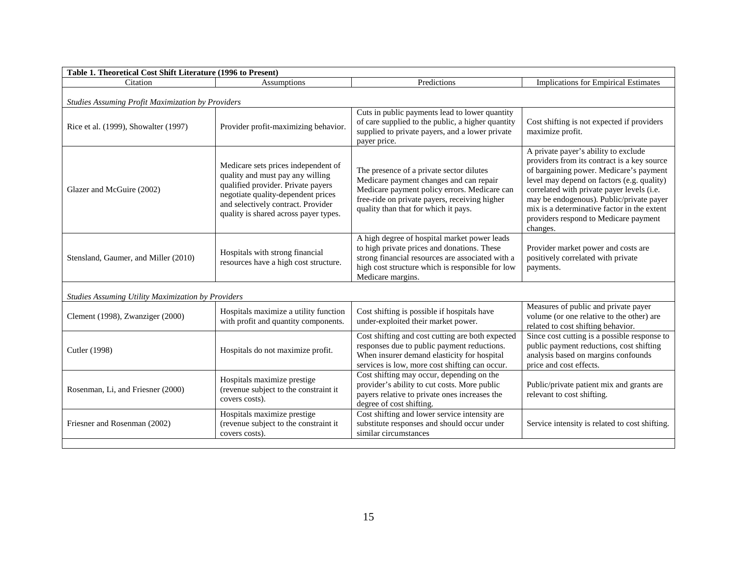| Table 1. Theoretical Cost Shift Literature (1996 to Present) |                                                                                                                                                                                                                                    |                                                                                                                                                                                                                              |                                                                                                                                                                                                                                                                                                                                                                            |  |  |  |  |  |
|--------------------------------------------------------------|------------------------------------------------------------------------------------------------------------------------------------------------------------------------------------------------------------------------------------|------------------------------------------------------------------------------------------------------------------------------------------------------------------------------------------------------------------------------|----------------------------------------------------------------------------------------------------------------------------------------------------------------------------------------------------------------------------------------------------------------------------------------------------------------------------------------------------------------------------|--|--|--|--|--|
| Citation                                                     | Assumptions                                                                                                                                                                                                                        | Predictions                                                                                                                                                                                                                  | Implications for Empirical Estimates                                                                                                                                                                                                                                                                                                                                       |  |  |  |  |  |
| Studies Assuming Profit Maximization by Providers            |                                                                                                                                                                                                                                    |                                                                                                                                                                                                                              |                                                                                                                                                                                                                                                                                                                                                                            |  |  |  |  |  |
| Rice et al. (1999), Showalter (1997)                         | Provider profit-maximizing behavior.                                                                                                                                                                                               | Cuts in public payments lead to lower quantity<br>of care supplied to the public, a higher quantity<br>supplied to private payers, and a lower private<br>payer price.                                                       | Cost shifting is not expected if providers<br>maximize profit.                                                                                                                                                                                                                                                                                                             |  |  |  |  |  |
| Glazer and McGuire (2002)                                    | Medicare sets prices independent of<br>quality and must pay any willing<br>qualified provider. Private payers<br>negotiate quality-dependent prices<br>and selectively contract. Provider<br>quality is shared across payer types. | The presence of a private sector dilutes<br>Medicare payment changes and can repair<br>Medicare payment policy errors. Medicare can<br>free-ride on private payers, receiving higher<br>quality than that for which it pays. | A private payer's ability to exclude<br>providers from its contract is a key source<br>of bargaining power. Medicare's payment<br>level may depend on factors (e.g. quality)<br>correlated with private payer levels (i.e.<br>may be endogenous). Public/private payer<br>mix is a determinative factor in the extent<br>providers respond to Medicare payment<br>changes. |  |  |  |  |  |
| Stensland, Gaumer, and Miller (2010)                         | Hospitals with strong financial<br>resources have a high cost structure.                                                                                                                                                           | A high degree of hospital market power leads<br>to high private prices and donations. These<br>strong financial resources are associated with a<br>high cost structure which is responsible for low<br>Medicare margins.     | Provider market power and costs are<br>positively correlated with private<br>payments.                                                                                                                                                                                                                                                                                     |  |  |  |  |  |
| <b>Studies Assuming Utility Maximization by Providers</b>    |                                                                                                                                                                                                                                    |                                                                                                                                                                                                                              |                                                                                                                                                                                                                                                                                                                                                                            |  |  |  |  |  |
| Clement (1998), Zwanziger (2000)                             | Hospitals maximize a utility function<br>with profit and quantity components.                                                                                                                                                      | Cost shifting is possible if hospitals have<br>under-exploited their market power.                                                                                                                                           | Measures of public and private payer<br>volume (or one relative to the other) are<br>related to cost shifting behavior.                                                                                                                                                                                                                                                    |  |  |  |  |  |
| Cutler (1998)                                                | Hospitals do not maximize profit.                                                                                                                                                                                                  | Cost shifting and cost cutting are both expected<br>responses due to public payment reductions.<br>When insurer demand elasticity for hospital<br>services is low, more cost shifting can occur.                             | Since cost cutting is a possible response to<br>public payment reductions, cost shifting<br>analysis based on margins confounds<br>price and cost effects.                                                                                                                                                                                                                 |  |  |  |  |  |
| Rosenman, Li, and Friesner (2000)                            | Hospitals maximize prestige<br>(revenue subject to the constraint it<br>covers costs).                                                                                                                                             | Cost shifting may occur, depending on the<br>provider's ability to cut costs. More public<br>payers relative to private ones increases the<br>degree of cost shifting.                                                       | Public/private patient mix and grants are<br>relevant to cost shifting.                                                                                                                                                                                                                                                                                                    |  |  |  |  |  |
| Friesner and Rosenman (2002)                                 | Hospitals maximize prestige<br>(revenue subject to the constraint it<br>covers costs).                                                                                                                                             | Cost shifting and lower service intensity are<br>substitute responses and should occur under<br>similar circumstances                                                                                                        | Service intensity is related to cost shifting.                                                                                                                                                                                                                                                                                                                             |  |  |  |  |  |
|                                                              |                                                                                                                                                                                                                                    |                                                                                                                                                                                                                              |                                                                                                                                                                                                                                                                                                                                                                            |  |  |  |  |  |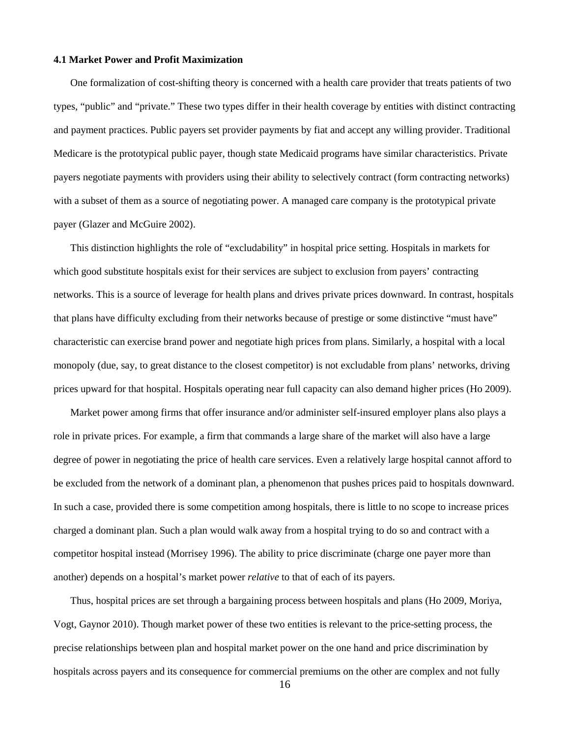#### **4.1 Market Power and Profit Maximization**

One formalization of cost-shifting theory is concerned with a health care provider that treats patients of two types, "public" and "private." These two types differ in their health coverage by entities with distinct contracting and payment practices. Public payers set provider payments by fiat and accept any willing provider. Traditional Medicare is the prototypical public payer, though state Medicaid programs have similar characteristics. Private payers negotiate payments with providers using their ability to selectively contract (form contracting networks) with a subset of them as a source of negotiating power. A managed care company is the prototypical private payer (Glazer and McGuire 2002).

This distinction highlights the role of "excludability" in hospital price setting. Hospitals in markets for which good substitute hospitals exist for their services are subject to exclusion from payers' contracting networks. This is a source of leverage for health plans and drives private prices downward. In contrast, hospitals that plans have difficulty excluding from their networks because of prestige or some distinctive "must have" characteristic can exercise brand power and negotiate high prices from plans. Similarly, a hospital with a local monopoly (due, say, to great distance to the closest competitor) is not excludable from plans' networks, driving prices upward for that hospital. Hospitals operating near full capacity can also demand higher prices (Ho 2009).

Market power among firms that offer insurance and/or administer self-insured employer plans also plays a role in private prices. For example, a firm that commands a large share of the market will also have a large degree of power in negotiating the price of health care services. Even a relatively large hospital cannot afford to be excluded from the network of a dominant plan, a phenomenon that pushes prices paid to hospitals downward. In such a case, provided there is some competition among hospitals, there is little to no scope to increase prices charged a dominant plan. Such a plan would walk away from a hospital trying to do so and contract with a competitor hospital instead (Morrisey 1996). The ability to price discriminate (charge one payer more than another) depends on a hospital's market power *relative* to that of each of its payers.

Thus, hospital prices are set through a bargaining process between hospitals and plans (Ho 2009, Moriya, Vogt, Gaynor 2010). Though market power of these two entities is relevant to the price-setting process, the precise relationships between plan and hospital market power on the one hand and price discrimination by hospitals across payers and its consequence for commercial premiums on the other are complex and not fully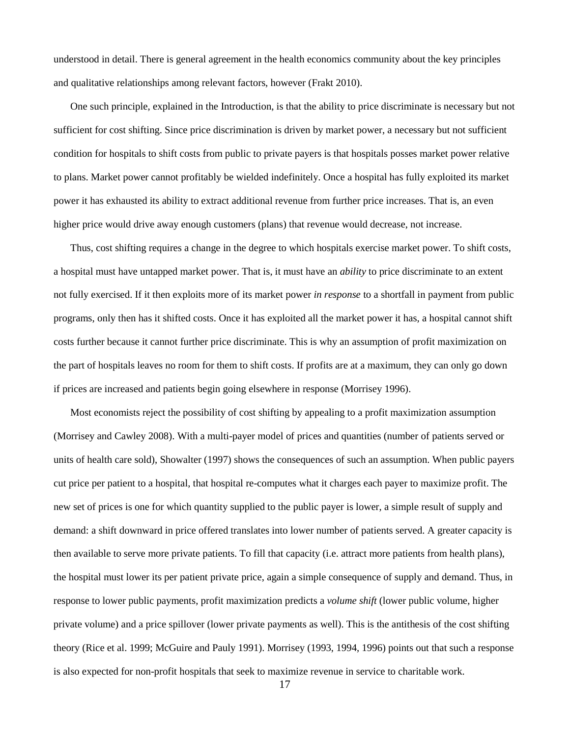understood in detail. There is general agreement in the health economics community about the key principles and qualitative relationships among relevant factors, however (Frakt 2010).

One such principle, explained in the Introduction, is that the ability to price discriminate is necessary but not sufficient for cost shifting. Since price discrimination is driven by market power, a necessary but not sufficient condition for hospitals to shift costs from public to private payers is that hospitals posses market power relative to plans. Market power cannot profitably be wielded indefinitely. Once a hospital has fully exploited its market power it has exhausted its ability to extract additional revenue from further price increases. That is, an even higher price would drive away enough customers (plans) that revenue would decrease, not increase.

Thus, cost shifting requires a change in the degree to which hospitals exercise market power. To shift costs, a hospital must have untapped market power. That is, it must have an *ability* to price discriminate to an extent not fully exercised. If it then exploits more of its market power *in response* to a shortfall in payment from public programs, only then has it shifted costs. Once it has exploited all the market power it has, a hospital cannot shift costs further because it cannot further price discriminate. This is why an assumption of profit maximization on the part of hospitals leaves no room for them to shift costs. If profits are at a maximum, they can only go down if prices are increased and patients begin going elsewhere in response (Morrisey 1996).

Most economists reject the possibility of cost shifting by appealing to a profit maximization assumption (Morrisey and Cawley 2008). With a multi-payer model of prices and quantities (number of patients served or units of health care sold), Showalter (1997) shows the consequences of such an assumption. When public payers cut price per patient to a hospital, that hospital re-computes what it charges each payer to maximize profit. The new set of prices is one for which quantity supplied to the public payer is lower, a simple result of supply and demand: a shift downward in price offered translates into lower number of patients served. A greater capacity is then available to serve more private patients. To fill that capacity (i.e. attract more patients from health plans), the hospital must lower its per patient private price, again a simple consequence of supply and demand. Thus, in response to lower public payments, profit maximization predicts a *volume shift* (lower public volume, higher private volume) and a price spillover (lower private payments as well). This is the antithesis of the cost shifting theory (Rice et al. 1999; McGuire and Pauly 1991). Morrisey (1993, 1994, 1996) points out that such a response is also expected for non-profit hospitals that seek to maximize revenue in service to charitable work.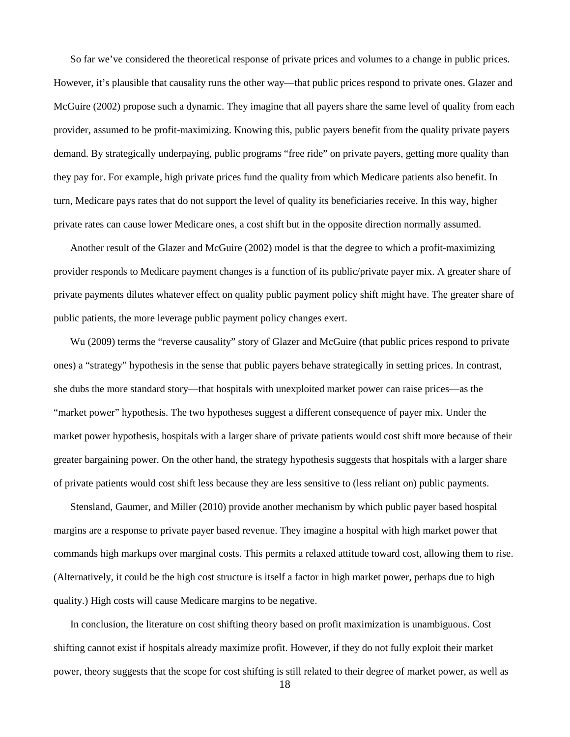So far we've considered the theoretical response of private prices and volumes to a change in public prices. However, it's plausible that causality runs the other way—that public prices respond to private ones. Glazer and McGuire (2002) propose such a dynamic. They imagine that all payers share the same level of quality from each provider, assumed to be profit-maximizing. Knowing this, public payers benefit from the quality private payers demand. By strategically underpaying, public programs "free ride" on private payers, getting more quality than they pay for. For example, high private prices fund the quality from which Medicare patients also benefit. In turn, Medicare pays rates that do not support the level of quality its beneficiaries receive. In this way, higher private rates can cause lower Medicare ones, a cost shift but in the opposite direction normally assumed.

Another result of the Glazer and McGuire (2002) model is that the degree to which a profit-maximizing provider responds to Medicare payment changes is a function of its public/private payer mix. A greater share of private payments dilutes whatever effect on quality public payment policy shift might have. The greater share of public patients, the more leverage public payment policy changes exert.

Wu (2009) terms the "reverse causality" story of Glazer and McGuire (that public prices respond to private ones) a "strategy" hypothesis in the sense that public payers behave strategically in setting prices. In contrast, she dubs the more standard story—that hospitals with unexploited market power can raise prices—as the "market power" hypothesis. The two hypotheses suggest a different consequence of payer mix. Under the market power hypothesis, hospitals with a larger share of private patients would cost shift more because of their greater bargaining power. On the other hand, the strategy hypothesis suggests that hospitals with a larger share of private patients would cost shift less because they are less sensitive to (less reliant on) public payments.

Stensland, Gaumer, and Miller (2010) provide another mechanism by which public payer based hospital margins are a response to private payer based revenue. They imagine a hospital with high market power that commands high markups over marginal costs. This permits a relaxed attitude toward cost, allowing them to rise. (Alternatively, it could be the high cost structure is itself a factor in high market power, perhaps due to high quality.) High costs will cause Medicare margins to be negative.

In conclusion, the literature on cost shifting theory based on profit maximization is unambiguous. Cost shifting cannot exist if hospitals already maximize profit. However, if they do not fully exploit their market power, theory suggests that the scope for cost shifting is still related to their degree of market power, as well as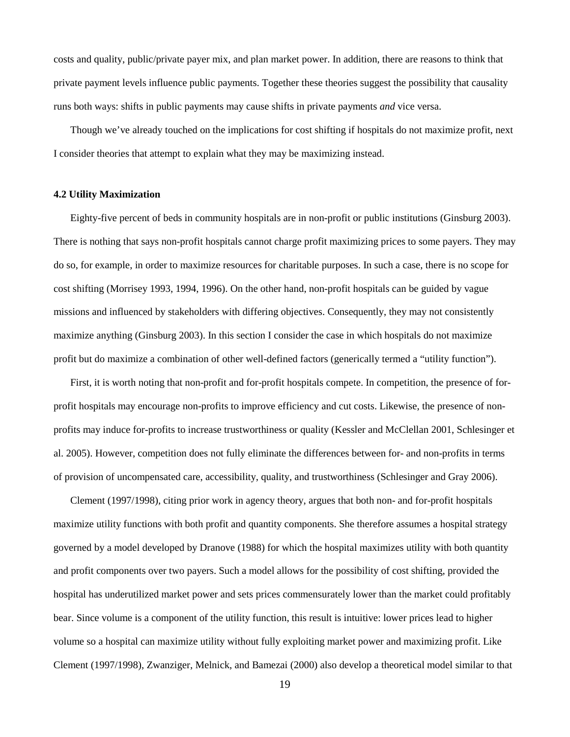costs and quality, public/private payer mix, and plan market power. In addition, there are reasons to think that private payment levels influence public payments. Together these theories suggest the possibility that causality runs both ways: shifts in public payments may cause shifts in private payments *and* vice versa.

Though we've already touched on the implications for cost shifting if hospitals do not maximize profit, next I consider theories that attempt to explain what they may be maximizing instead.

#### **4.2 Utility Maximization**

Eighty-five percent of beds in community hospitals are in non-profit or public institutions (Ginsburg 2003). There is nothing that says non-profit hospitals cannot charge profit maximizing prices to some payers. They may do so, for example, in order to maximize resources for charitable purposes. In such a case, there is no scope for cost shifting (Morrisey 1993, 1994, 1996). On the other hand, non-profit hospitals can be guided by vague missions and influenced by stakeholders with differing objectives. Consequently, they may not consistently maximize anything (Ginsburg 2003). In this section I consider the case in which hospitals do not maximize profit but do maximize a combination of other well-defined factors (generically termed a "utility function").

First, it is worth noting that non-profit and for-profit hospitals compete. In competition, the presence of forprofit hospitals may encourage non-profits to improve efficiency and cut costs. Likewise, the presence of nonprofits may induce for-profits to increase trustworthiness or quality (Kessler and McClellan 2001, Schlesinger et al. 2005). However, competition does not fully eliminate the differences between for- and non-profits in terms of provision of uncompensated care, accessibility, quality, and trustworthiness (Schlesinger and Gray 2006).

Clement (1997/1998), citing prior work in agency theory, argues that both non- and for-profit hospitals maximize utility functions with both profit and quantity components. She therefore assumes a hospital strategy governed by a model developed by Dranove (1988) for which the hospital maximizes utility with both quantity and profit components over two payers. Such a model allows for the possibility of cost shifting, provided the hospital has underutilized market power and sets prices commensurately lower than the market could profitably bear. Since volume is a component of the utility function, this result is intuitive: lower prices lead to higher volume so a hospital can maximize utility without fully exploiting market power and maximizing profit. Like Clement (1997/1998), Zwanziger, Melnick, and Bamezai (2000) also develop a theoretical model similar to that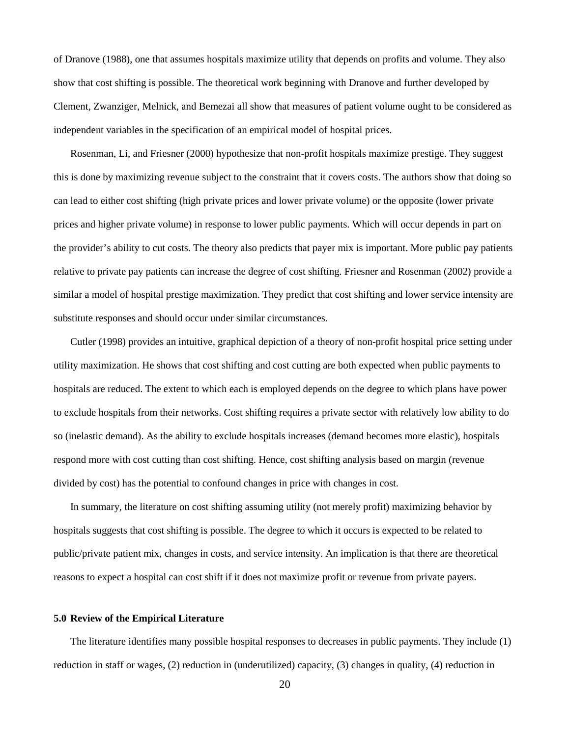of Dranove (1988), one that assumes hospitals maximize utility that depends on profits and volume. They also show that cost shifting is possible. The theoretical work beginning with Dranove and further developed by Clement, Zwanziger, Melnick, and Bemezai all show that measures of patient volume ought to be considered as independent variables in the specification of an empirical model of hospital prices.

Rosenman, Li, and Friesner (2000) hypothesize that non-profit hospitals maximize prestige. They suggest this is done by maximizing revenue subject to the constraint that it covers costs. The authors show that doing so can lead to either cost shifting (high private prices and lower private volume) or the opposite (lower private prices and higher private volume) in response to lower public payments. Which will occur depends in part on the provider's ability to cut costs. The theory also predicts that payer mix is important. More public pay patients relative to private pay patients can increase the degree of cost shifting. Friesner and Rosenman (2002) provide a similar a model of hospital prestige maximization. They predict that cost shifting and lower service intensity are substitute responses and should occur under similar circumstances.

Cutler (1998) provides an intuitive, graphical depiction of a theory of non-profit hospital price setting under utility maximization. He shows that cost shifting and cost cutting are both expected when public payments to hospitals are reduced. The extent to which each is employed depends on the degree to which plans have power to exclude hospitals from their networks. Cost shifting requires a private sector with relatively low ability to do so (inelastic demand). As the ability to exclude hospitals increases (demand becomes more elastic), hospitals respond more with cost cutting than cost shifting. Hence, cost shifting analysis based on margin (revenue divided by cost) has the potential to confound changes in price with changes in cost.

In summary, the literature on cost shifting assuming utility (not merely profit) maximizing behavior by hospitals suggests that cost shifting is possible. The degree to which it occurs is expected to be related to public/private patient mix, changes in costs, and service intensity. An implication is that there are theoretical reasons to expect a hospital can cost shift if it does not maximize profit or revenue from private payers.

#### **5.0 Review of the Empirical Literature**

The literature identifies many possible hospital responses to decreases in public payments. They include (1) reduction in staff or wages, (2) reduction in (underutilized) capacity, (3) changes in quality, (4) reduction in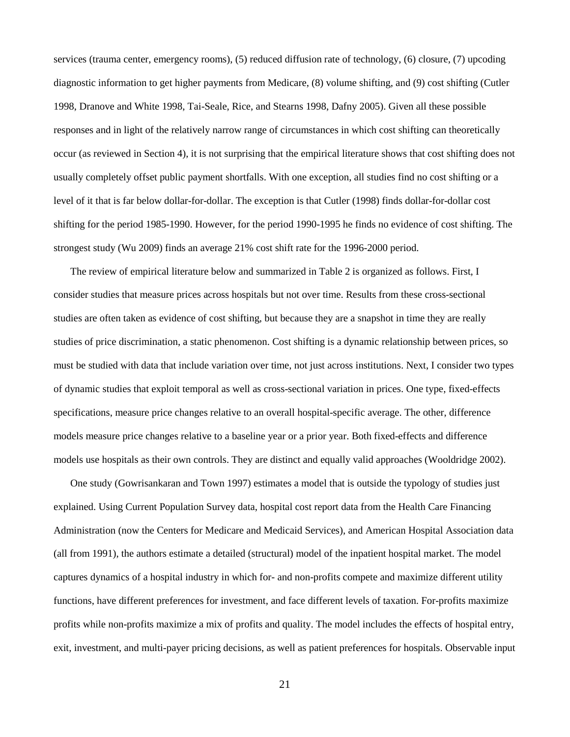services (trauma center, emergency rooms), (5) reduced diffusion rate of technology, (6) closure, (7) upcoding diagnostic information to get higher payments from Medicare, (8) volume shifting, and (9) cost shifting (Cutler 1998, Dranove and White 1998, Tai-Seale, Rice, and Stearns 1998, Dafny 2005). Given all these possible responses and in light of the relatively narrow range of circumstances in which cost shifting can theoretically occur (as reviewed in Section 4), it is not surprising that the empirical literature shows that cost shifting does not usually completely offset public payment shortfalls. With one exception, all studies find no cost shifting or a level of it that is far below dollar-for-dollar. The exception is that Cutler (1998) finds dollar-for-dollar cost shifting for the period 1985-1990. However, for the period 1990-1995 he finds no evidence of cost shifting. The strongest study (Wu 2009) finds an average 21% cost shift rate for the 1996-2000 period.

The review of empirical literature below and summarized in Table 2 is organized as follows. First, I consider studies that measure prices across hospitals but not over time. Results from these cross-sectional studies are often taken as evidence of cost shifting, but because they are a snapshot in time they are really studies of price discrimination, a static phenomenon. Cost shifting is a dynamic relationship between prices, so must be studied with data that include variation over time, not just across institutions. Next, I consider two types of dynamic studies that exploit temporal as well as cross-sectional variation in prices. One type, fixed-effects specifications, measure price changes relative to an overall hospital-specific average. The other, difference models measure price changes relative to a baseline year or a prior year. Both fixed-effects and difference models use hospitals as their own controls. They are distinct and equally valid approaches (Wooldridge 2002).

One study (Gowrisankaran and Town 1997) estimates a model that is outside the typology of studies just explained. Using Current Population Survey data, hospital cost report data from the Health Care Financing Administration (now the Centers for Medicare and Medicaid Services), and American Hospital Association data (all from 1991), the authors estimate a detailed (structural) model of the inpatient hospital market. The model captures dynamics of a hospital industry in which for- and non-profits compete and maximize different utility functions, have different preferences for investment, and face different levels of taxation. For-profits maximize profits while non-profits maximize a mix of profits and quality. The model includes the effects of hospital entry, exit, investment, and multi-payer pricing decisions, as well as patient preferences for hospitals. Observable input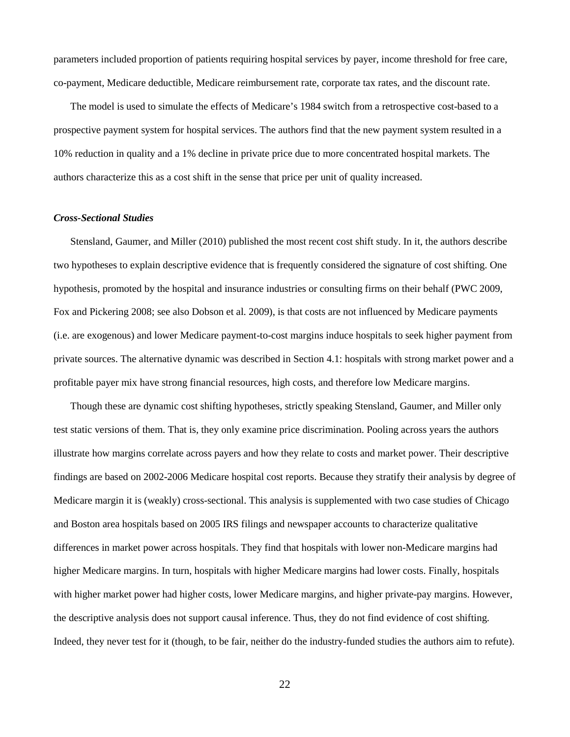parameters included proportion of patients requiring hospital services by payer, income threshold for free care, co-payment, Medicare deductible, Medicare reimbursement rate, corporate tax rates, and the discount rate.

The model is used to simulate the effects of Medicare's 1984 switch from a retrospective cost-based to a prospective payment system for hospital services. The authors find that the new payment system resulted in a 10% reduction in quality and a 1% decline in private price due to more concentrated hospital markets. The authors characterize this as a cost shift in the sense that price per unit of quality increased.

#### *Cross-Sectional Studies*

Stensland, Gaumer, and Miller (2010) published the most recent cost shift study. In it, the authors describe two hypotheses to explain descriptive evidence that is frequently considered the signature of cost shifting. One hypothesis, promoted by the hospital and insurance industries or consulting firms on their behalf (PWC 2009, Fox and Pickering 2008; see also Dobson et al. 2009), is that costs are not influenced by Medicare payments (i.e. are exogenous) and lower Medicare payment-to-cost margins induce hospitals to seek higher payment from private sources. The alternative dynamic was described in Section 4.1: hospitals with strong market power and a profitable payer mix have strong financial resources, high costs, and therefore low Medicare margins.

Though these are dynamic cost shifting hypotheses, strictly speaking Stensland, Gaumer, and Miller only test static versions of them. That is, they only examine price discrimination. Pooling across years the authors illustrate how margins correlate across payers and how they relate to costs and market power. Their descriptive findings are based on 2002-2006 Medicare hospital cost reports. Because they stratify their analysis by degree of Medicare margin it is (weakly) cross-sectional. This analysis is supplemented with two case studies of Chicago and Boston area hospitals based on 2005 IRS filings and newspaper accounts to characterize qualitative differences in market power across hospitals. They find that hospitals with lower non-Medicare margins had higher Medicare margins. In turn, hospitals with higher Medicare margins had lower costs. Finally, hospitals with higher market power had higher costs, lower Medicare margins, and higher private-pay margins. However, the descriptive analysis does not support causal inference. Thus, they do not find evidence of cost shifting. Indeed, they never test for it (though, to be fair, neither do the industry-funded studies the authors aim to refute).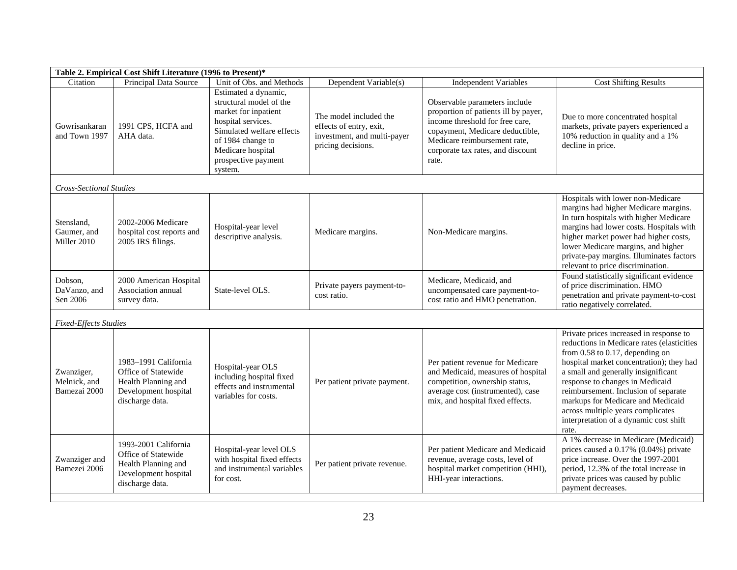| Table 2. Empirical Cost Shift Literature (1996 to Present)* |                                                                                                               |                                                                                                                                                                                                        |                                                                                                        |                                                                                                                                                                                                                           |                                                                                                                                                                                                                                                                                                                                                                                                                          |  |  |  |
|-------------------------------------------------------------|---------------------------------------------------------------------------------------------------------------|--------------------------------------------------------------------------------------------------------------------------------------------------------------------------------------------------------|--------------------------------------------------------------------------------------------------------|---------------------------------------------------------------------------------------------------------------------------------------------------------------------------------------------------------------------------|--------------------------------------------------------------------------------------------------------------------------------------------------------------------------------------------------------------------------------------------------------------------------------------------------------------------------------------------------------------------------------------------------------------------------|--|--|--|
| Citation                                                    | Principal Data Source                                                                                         | Unit of Obs. and Methods                                                                                                                                                                               | Dependent Variable(s)                                                                                  | <b>Independent Variables</b>                                                                                                                                                                                              | <b>Cost Shifting Results</b>                                                                                                                                                                                                                                                                                                                                                                                             |  |  |  |
| Gowrisankaran<br>and Town 1997                              | 1991 CPS, HCFA and<br>AHA data.                                                                               | Estimated a dynamic,<br>structural model of the<br>market for inpatient<br>hospital services.<br>Simulated welfare effects<br>of 1984 change to<br>Medicare hospital<br>prospective payment<br>system. | The model included the<br>effects of entry, exit,<br>investment, and multi-payer<br>pricing decisions. | Observable parameters include<br>proportion of patients ill by payer,<br>income threshold for free care,<br>copayment, Medicare deductible,<br>Medicare reimbursement rate,<br>corporate tax rates, and discount<br>rate. | Due to more concentrated hospital<br>markets, private payers experienced a<br>10% reduction in quality and a 1%<br>decline in price.                                                                                                                                                                                                                                                                                     |  |  |  |
| <b>Cross-Sectional Studies</b>                              |                                                                                                               |                                                                                                                                                                                                        |                                                                                                        |                                                                                                                                                                                                                           |                                                                                                                                                                                                                                                                                                                                                                                                                          |  |  |  |
| Stensland,<br>Gaumer, and<br>Miller 2010                    | 2002-2006 Medicare<br>hospital cost reports and<br>2005 IRS filings.                                          | Hospital-year level<br>descriptive analysis.                                                                                                                                                           | Medicare margins.                                                                                      | Non-Medicare margins.                                                                                                                                                                                                     | Hospitals with lower non-Medicare<br>margins had higher Medicare margins.<br>In turn hospitals with higher Medicare<br>margins had lower costs. Hospitals with<br>higher market power had higher costs,<br>lower Medicare margins, and higher<br>private-pay margins. Illuminates factors<br>relevant to price discrimination.                                                                                           |  |  |  |
| Dobson,<br>DaVanzo, and<br>Sen 2006                         | 2000 American Hospital<br>Association annual<br>survey data.                                                  | State-level OLS.                                                                                                                                                                                       | Private payers payment-to-<br>cost ratio.                                                              | Medicare, Medicaid, and<br>uncompensated care payment-to-<br>cost ratio and HMO penetration.                                                                                                                              | Found statistically significant evidence<br>of price discrimination. HMO<br>penetration and private payment-to-cost<br>ratio negatively correlated.                                                                                                                                                                                                                                                                      |  |  |  |
| <b>Fixed-Effects Studies</b>                                |                                                                                                               |                                                                                                                                                                                                        |                                                                                                        |                                                                                                                                                                                                                           |                                                                                                                                                                                                                                                                                                                                                                                                                          |  |  |  |
| Zwanziger,<br>Melnick, and<br>Bamezai 2000                  | 1983-1991 California<br>Office of Statewide<br>Health Planning and<br>Development hospital<br>discharge data. | Hospital-year OLS<br>including hospital fixed<br>effects and instrumental<br>variables for costs.                                                                                                      | Per patient private payment.                                                                           | Per patient revenue for Medicare<br>and Medicaid, measures of hospital<br>competition, ownership status,<br>average cost (instrumented), case<br>mix, and hospital fixed effects.                                         | Private prices increased in response to<br>reductions in Medicare rates (elasticities<br>from $0.58$ to $0.17$ , depending on<br>hospital market concentration); they had<br>a small and generally insignificant<br>response to changes in Medicaid<br>reimbursement. Inclusion of separate<br>markups for Medicare and Medicaid<br>across multiple years complicates<br>interpretation of a dynamic cost shift<br>rate. |  |  |  |
| Zwanziger and<br>Bamezei 2006                               | 1993-2001 California<br>Office of Statewide<br>Health Planning and<br>Development hospital<br>discharge data. | Hospital-year level OLS<br>with hospital fixed effects<br>and instrumental variables<br>for cost.                                                                                                      | Per patient private revenue.                                                                           | Per patient Medicare and Medicaid<br>revenue, average costs, level of<br>hospital market competition (HHI),<br>HHI-year interactions.                                                                                     | A 1% decrease in Medicare (Medicaid)<br>prices caused a 0.17% (0.04%) private<br>price increase. Over the 1997-2001<br>period, 12.3% of the total increase in<br>private prices was caused by public<br>payment decreases.                                                                                                                                                                                               |  |  |  |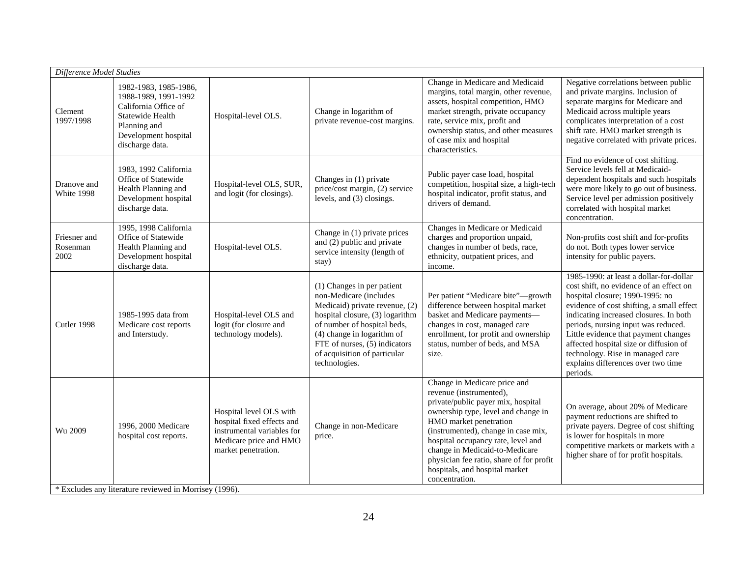| Difference Model Studies                               |                                                                                                                                                      |                                                                                                                                      |                                                                                                                                                                                                                                                                          |                                                                                                                                                                                                                                                                                                                                                                               |                                                                                                                                                                                                                                                                                                                                                                                                                             |  |  |
|--------------------------------------------------------|------------------------------------------------------------------------------------------------------------------------------------------------------|--------------------------------------------------------------------------------------------------------------------------------------|--------------------------------------------------------------------------------------------------------------------------------------------------------------------------------------------------------------------------------------------------------------------------|-------------------------------------------------------------------------------------------------------------------------------------------------------------------------------------------------------------------------------------------------------------------------------------------------------------------------------------------------------------------------------|-----------------------------------------------------------------------------------------------------------------------------------------------------------------------------------------------------------------------------------------------------------------------------------------------------------------------------------------------------------------------------------------------------------------------------|--|--|
| Clement<br>1997/1998                                   | 1982-1983, 1985-1986,<br>1988-1989, 1991-1992<br>California Office of<br>Statewide Health<br>Planning and<br>Development hospital<br>discharge data. | Hospital-level OLS.                                                                                                                  | Change in logarithm of<br>private revenue-cost margins.                                                                                                                                                                                                                  | Change in Medicare and Medicaid<br>margins, total margin, other revenue,<br>assets, hospital competition, HMO<br>market strength, private occupancy<br>rate, service mix, profit and<br>ownership status, and other measures<br>of case mix and hospital<br>characteristics.                                                                                                  | Negative correlations between public<br>and private margins. Inclusion of<br>separate margins for Medicare and<br>Medicaid across multiple years<br>complicates interpretation of a cost<br>shift rate. HMO market strength is<br>negative correlated with private prices.                                                                                                                                                  |  |  |
| Dranove and<br>White 1998                              | 1983, 1992 California<br>Office of Statewide<br>Health Planning and<br>Development hospital<br>discharge data.                                       | Hospital-level OLS, SUR,<br>and logit (for closings).                                                                                | Changes in (1) private<br>price/cost margin, (2) service<br>levels, and (3) closings.                                                                                                                                                                                    | Public payer case load, hospital<br>competition, hospital size, a high-tech<br>hospital indicator, profit status, and<br>drivers of demand.                                                                                                                                                                                                                                   | Find no evidence of cost shifting.<br>Service levels fell at Medicaid-<br>dependent hospitals and such hospitals<br>were more likely to go out of business.<br>Service level per admission positively<br>correlated with hospital market<br>concentration.                                                                                                                                                                  |  |  |
| Friesner and<br>Rosenman<br>2002                       | 1995, 1998 California<br>Office of Statewide<br>Health Planning and<br>Development hospital<br>discharge data.                                       | Hospital-level OLS.                                                                                                                  | Change in (1) private prices<br>and (2) public and private<br>service intensity (length of<br>stay)                                                                                                                                                                      | Changes in Medicare or Medicaid<br>charges and proportion unpaid,<br>changes in number of beds, race,<br>ethnicity, outpatient prices, and<br>income.                                                                                                                                                                                                                         | Non-profits cost shift and for-profits<br>do not. Both types lower service<br>intensity for public payers.                                                                                                                                                                                                                                                                                                                  |  |  |
| Cutler 1998                                            | 1985-1995 data from<br>Medicare cost reports<br>and Interstudy.                                                                                      | Hospital-level OLS and<br>logit (for closure and<br>technology models).                                                              | (1) Changes in per patient<br>non-Medicare (includes<br>Medicaid) private revenue, (2)<br>hospital closure, (3) logarithm<br>of number of hospital beds,<br>(4) change in logarithm of<br>FTE of nurses, (5) indicators<br>of acquisition of particular<br>technologies. | Per patient "Medicare bite"-growth<br>difference between hospital market<br>basket and Medicare payments-<br>changes in cost, managed care<br>enrollment, for profit and ownership<br>status, number of beds, and MSA<br>size.                                                                                                                                                | 1985-1990: at least a dollar-for-dollar<br>cost shift, no evidence of an effect on<br>hospital closure; 1990-1995: no<br>evidence of cost shifting, a small effect<br>indicating increased closures. In both<br>periods, nursing input was reduced.<br>Little evidence that payment changes<br>affected hospital size or diffusion of<br>technology. Rise in managed care<br>explains differences over two time<br>periods. |  |  |
| Wu 2009                                                | 1996, 2000 Medicare<br>hospital cost reports.                                                                                                        | Hospital level OLS with<br>hospital fixed effects and<br>instrumental variables for<br>Medicare price and HMO<br>market penetration. | Change in non-Medicare<br>price.                                                                                                                                                                                                                                         | Change in Medicare price and<br>revenue (instrumented),<br>private/public payer mix, hospital<br>ownership type, level and change in<br>HMO market penetration<br>(instrumented), change in case mix,<br>hospital occupancy rate, level and<br>change in Medicaid-to-Medicare<br>physician fee ratio, share of for profit<br>hospitals, and hospital market<br>concentration. | On average, about 20% of Medicare<br>payment reductions are shifted to<br>private payers. Degree of cost shifting<br>is lower for hospitals in more<br>competitive markets or markets with a<br>higher share of for profit hospitals.                                                                                                                                                                                       |  |  |
| * Excludes any literature reviewed in Morrisey (1996). |                                                                                                                                                      |                                                                                                                                      |                                                                                                                                                                                                                                                                          |                                                                                                                                                                                                                                                                                                                                                                               |                                                                                                                                                                                                                                                                                                                                                                                                                             |  |  |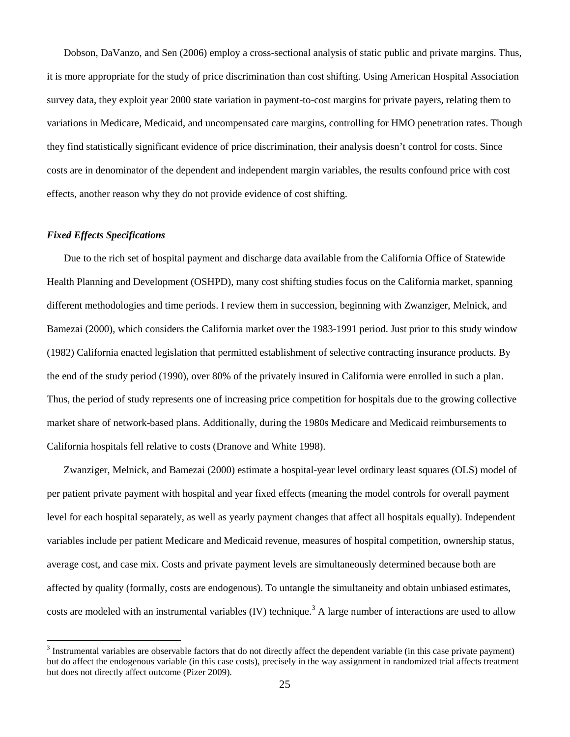Dobson, DaVanzo, and Sen (2006) employ a cross-sectional analysis of static public and private margins. Thus, it is more appropriate for the study of price discrimination than cost shifting. Using American Hospital Association survey data, they exploit year 2000 state variation in payment-to-cost margins for private payers, relating them to variations in Medicare, Medicaid, and uncompensated care margins, controlling for HMO penetration rates. Though they find statistically significant evidence of price discrimination, their analysis doesn't control for costs. Since costs are in denominator of the dependent and independent margin variables, the results confound price with cost effects, another reason why they do not provide evidence of cost shifting.

#### *Fixed Effects Specifications*

Due to the rich set of hospital payment and discharge data available from the California Office of Statewide Health Planning and Development (OSHPD), many cost shifting studies focus on the California market, spanning different methodologies and time periods. I review them in succession, beginning with Zwanziger, Melnick, and Bamezai (2000), which considers the California market over the 1983-1991 period. Just prior to this study window (1982) California enacted legislation that permitted establishment of selective contracting insurance products. By the end of the study period (1990), over 80% of the privately insured in California were enrolled in such a plan. Thus, the period of study represents one of increasing price competition for hospitals due to the growing collective market share of network-based plans. Additionally, during the 1980s Medicare and Medicaid reimbursements to California hospitals fell relative to costs (Dranove and White 1998).

Zwanziger, Melnick, and Bamezai (2000) estimate a hospital-year level ordinary least squares (OLS) model of per patient private payment with hospital and year fixed effects (meaning the model controls for overall payment level for each hospital separately, as well as yearly payment changes that affect all hospitals equally). Independent variables include per patient Medicare and Medicaid revenue, measures of hospital competition, ownership status, average cost, and case mix. Costs and private payment levels are simultaneously determined because both are affected by quality (formally, costs are endogenous). To untangle the simultaneity and obtain unbiased estimates, costs are modeled with an instrumental variables (IV) technique.<sup>[3](#page-24-0)</sup> A large number of interactions are used to allow

<span id="page-24-0"></span><sup>&</sup>lt;sup>3</sup> Instrumental variables are observable factors that do not directly affect the dependent variable (in this case private payment) but do affect the endogenous variable (in this case costs), precisely in the way assignment in randomized trial affects treatment but does not directly affect outcome (Pizer 2009).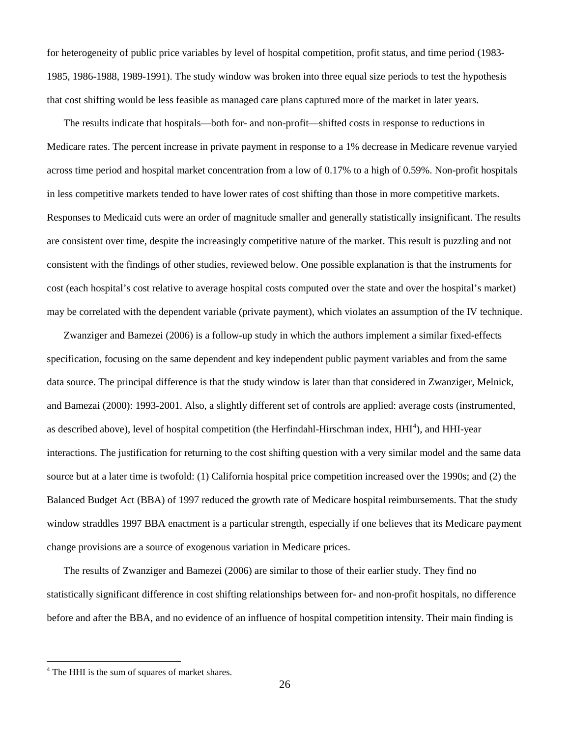for heterogeneity of public price variables by level of hospital competition, profit status, and time period (1983- 1985, 1986-1988, 1989-1991). The study window was broken into three equal size periods to test the hypothesis that cost shifting would be less feasible as managed care plans captured more of the market in later years.

The results indicate that hospitals—both for- and non-profit—shifted costs in response to reductions in Medicare rates. The percent increase in private payment in response to a 1% decrease in Medicare revenue varyied across time period and hospital market concentration from a low of 0.17% to a high of 0.59%. Non-profit hospitals in less competitive markets tended to have lower rates of cost shifting than those in more competitive markets. Responses to Medicaid cuts were an order of magnitude smaller and generally statistically insignificant. The results are consistent over time, despite the increasingly competitive nature of the market. This result is puzzling and not consistent with the findings of other studies, reviewed below. One possible explanation is that the instruments for cost (each hospital's cost relative to average hospital costs computed over the state and over the hospital's market) may be correlated with the dependent variable (private payment), which violates an assumption of the IV technique.

Zwanziger and Bamezei (2006) is a follow-up study in which the authors implement a similar fixed-effects specification, focusing on the same dependent and key independent public payment variables and from the same data source. The principal difference is that the study window is later than that considered in Zwanziger, Melnick, and Bamezai (2000): 1993-2001. Also, a slightly different set of controls are applied: average costs (instrumented, as described above), level of hospital competition (the Herfindahl-Hirschman index, HHI<sup>[4](#page-25-0)</sup>), and HHI-year interactions. The justification for returning to the cost shifting question with a very similar model and the same data source but at a later time is twofold: (1) California hospital price competition increased over the 1990s; and (2) the Balanced Budget Act (BBA) of 1997 reduced the growth rate of Medicare hospital reimbursements. That the study window straddles 1997 BBA enactment is a particular strength, especially if one believes that its Medicare payment change provisions are a source of exogenous variation in Medicare prices.

The results of Zwanziger and Bamezei (2006) are similar to those of their earlier study. They find no statistically significant difference in cost shifting relationships between for- and non-profit hospitals, no difference before and after the BBA, and no evidence of an influence of hospital competition intensity. Their main finding is

<span id="page-25-0"></span><sup>&</sup>lt;sup>4</sup> The HHI is the sum of squares of market shares.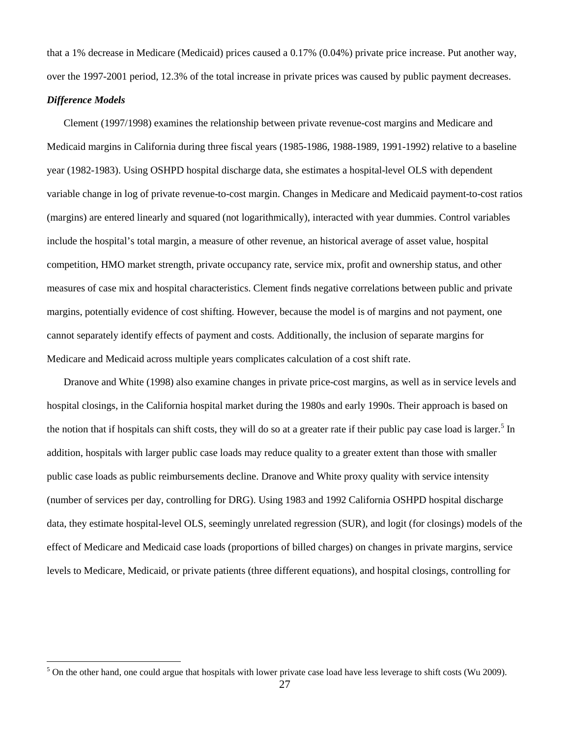that a 1% decrease in Medicare (Medicaid) prices caused a 0.17% (0.04%) private price increase. Put another way, over the 1997-2001 period, 12.3% of the total increase in private prices was caused by public payment decreases.

#### *Difference Models*

Clement (1997/1998) examines the relationship between private revenue-cost margins and Medicare and Medicaid margins in California during three fiscal years (1985-1986, 1988-1989, 1991-1992) relative to a baseline year (1982-1983). Using OSHPD hospital discharge data, she estimates a hospital-level OLS with dependent variable change in log of private revenue-to-cost margin. Changes in Medicare and Medicaid payment-to-cost ratios (margins) are entered linearly and squared (not logarithmically), interacted with year dummies. Control variables include the hospital's total margin, a measure of other revenue, an historical average of asset value, hospital competition, HMO market strength, private occupancy rate, service mix, profit and ownership status, and other measures of case mix and hospital characteristics. Clement finds negative correlations between public and private margins, potentially evidence of cost shifting. However, because the model is of margins and not payment, one cannot separately identify effects of payment and costs. Additionally, the inclusion of separate margins for Medicare and Medicaid across multiple years complicates calculation of a cost shift rate.

Dranove and White (1998) also examine changes in private price-cost margins, as well as in service levels and hospital closings, in the California hospital market during the 1980s and early 1990s. Their approach is based on the notion that if hospitals can shift costs, they will do so at a greater rate if their public pay case load is larger.<sup>[5](#page-26-0)</sup> In addition, hospitals with larger public case loads may reduce quality to a greater extent than those with smaller public case loads as public reimbursements decline. Dranove and White proxy quality with service intensity (number of services per day, controlling for DRG). Using 1983 and 1992 California OSHPD hospital discharge data, they estimate hospital-level OLS, seemingly unrelated regression (SUR), and logit (for closings) models of the effect of Medicare and Medicaid case loads (proportions of billed charges) on changes in private margins, service levels to Medicare, Medicaid, or private patients (three different equations), and hospital closings, controlling for

<span id="page-26-0"></span> $5$  On the other hand, one could argue that hospitals with lower private case load have less leverage to shift costs (Wu 2009).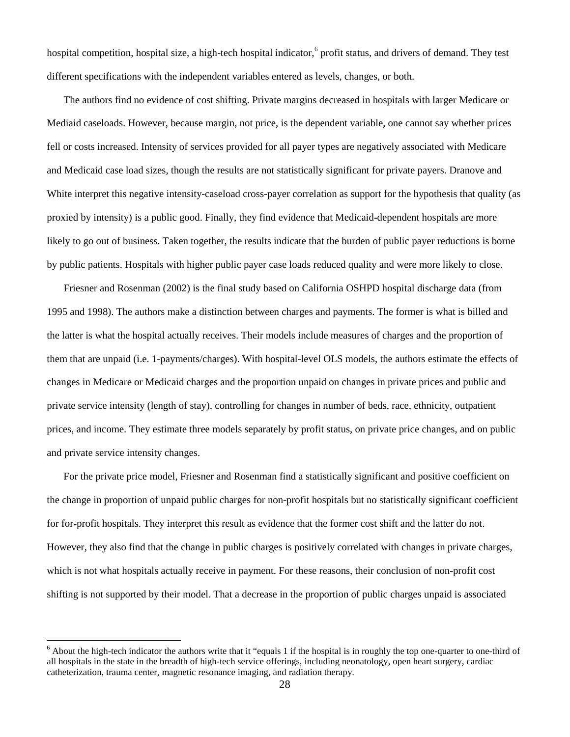hospital competition, hospital size, a high-tech hospital indicator,<sup>[6](#page-27-0)</sup> profit status, and drivers of demand. They test different specifications with the independent variables entered as levels, changes, or both.

The authors find no evidence of cost shifting. Private margins decreased in hospitals with larger Medicare or Mediaid caseloads. However, because margin, not price, is the dependent variable, one cannot say whether prices fell or costs increased. Intensity of services provided for all payer types are negatively associated with Medicare and Medicaid case load sizes, though the results are not statistically significant for private payers. Dranove and White interpret this negative intensity-caseload cross-payer correlation as support for the hypothesis that quality (as proxied by intensity) is a public good. Finally, they find evidence that Medicaid-dependent hospitals are more likely to go out of business. Taken together, the results indicate that the burden of public payer reductions is borne by public patients. Hospitals with higher public payer case loads reduced quality and were more likely to close.

Friesner and Rosenman (2002) is the final study based on California OSHPD hospital discharge data (from 1995 and 1998). The authors make a distinction between charges and payments. The former is what is billed and the latter is what the hospital actually receives. Their models include measures of charges and the proportion of them that are unpaid (i.e. 1-payments/charges). With hospital-level OLS models, the authors estimate the effects of changes in Medicare or Medicaid charges and the proportion unpaid on changes in private prices and public and private service intensity (length of stay), controlling for changes in number of beds, race, ethnicity, outpatient prices, and income. They estimate three models separately by profit status, on private price changes, and on public and private service intensity changes.

For the private price model, Friesner and Rosenman find a statistically significant and positive coefficient on the change in proportion of unpaid public charges for non-profit hospitals but no statistically significant coefficient for for-profit hospitals. They interpret this result as evidence that the former cost shift and the latter do not. However, they also find that the change in public charges is positively correlated with changes in private charges, which is not what hospitals actually receive in payment. For these reasons, their conclusion of non-profit cost shifting is not supported by their model. That a decrease in the proportion of public charges unpaid is associated

<span id="page-27-0"></span> $6$  About the high-tech indicator the authors write that it "equals 1 if the hospital is in roughly the top one-quarter to one-third of all hospitals in the state in the breadth of high-tech service offerings, including neonatology, open heart surgery, cardiac catheterization, trauma center, magnetic resonance imaging, and radiation therapy.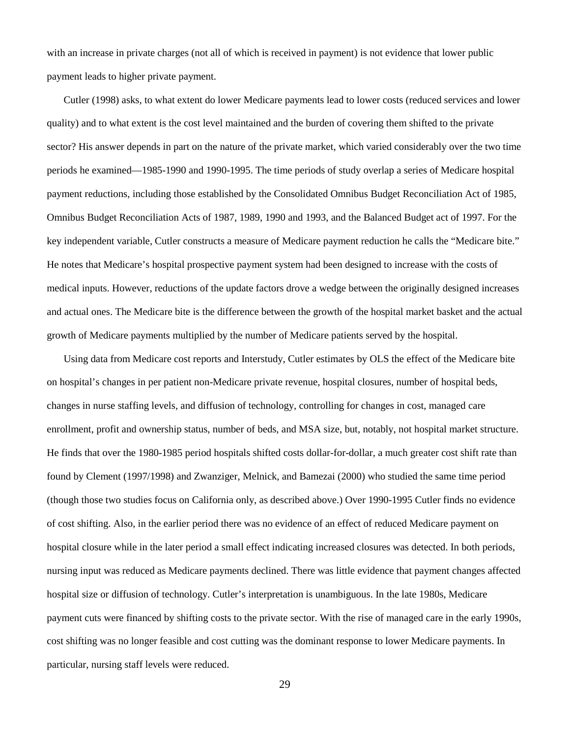with an increase in private charges (not all of which is received in payment) is not evidence that lower public payment leads to higher private payment.

Cutler (1998) asks, to what extent do lower Medicare payments lead to lower costs (reduced services and lower quality) and to what extent is the cost level maintained and the burden of covering them shifted to the private sector? His answer depends in part on the nature of the private market, which varied considerably over the two time periods he examined—1985-1990 and 1990-1995. The time periods of study overlap a series of Medicare hospital payment reductions, including those established by the Consolidated Omnibus Budget Reconciliation Act of 1985, Omnibus Budget Reconciliation Acts of 1987, 1989, 1990 and 1993, and the Balanced Budget act of 1997. For the key independent variable, Cutler constructs a measure of Medicare payment reduction he calls the "Medicare bite." He notes that Medicare's hospital prospective payment system had been designed to increase with the costs of medical inputs. However, reductions of the update factors drove a wedge between the originally designed increases and actual ones. The Medicare bite is the difference between the growth of the hospital market basket and the actual growth of Medicare payments multiplied by the number of Medicare patients served by the hospital.

Using data from Medicare cost reports and Interstudy, Cutler estimates by OLS the effect of the Medicare bite on hospital's changes in per patient non-Medicare private revenue, hospital closures, number of hospital beds, changes in nurse staffing levels, and diffusion of technology, controlling for changes in cost, managed care enrollment, profit and ownership status, number of beds, and MSA size, but, notably, not hospital market structure. He finds that over the 1980-1985 period hospitals shifted costs dollar-for-dollar, a much greater cost shift rate than found by Clement (1997/1998) and Zwanziger, Melnick, and Bamezai (2000) who studied the same time period (though those two studies focus on California only, as described above.) Over 1990-1995 Cutler finds no evidence of cost shifting. Also, in the earlier period there was no evidence of an effect of reduced Medicare payment on hospital closure while in the later period a small effect indicating increased closures was detected. In both periods, nursing input was reduced as Medicare payments declined. There was little evidence that payment changes affected hospital size or diffusion of technology. Cutler's interpretation is unambiguous. In the late 1980s, Medicare payment cuts were financed by shifting costs to the private sector. With the rise of managed care in the early 1990s, cost shifting was no longer feasible and cost cutting was the dominant response to lower Medicare payments. In particular, nursing staff levels were reduced.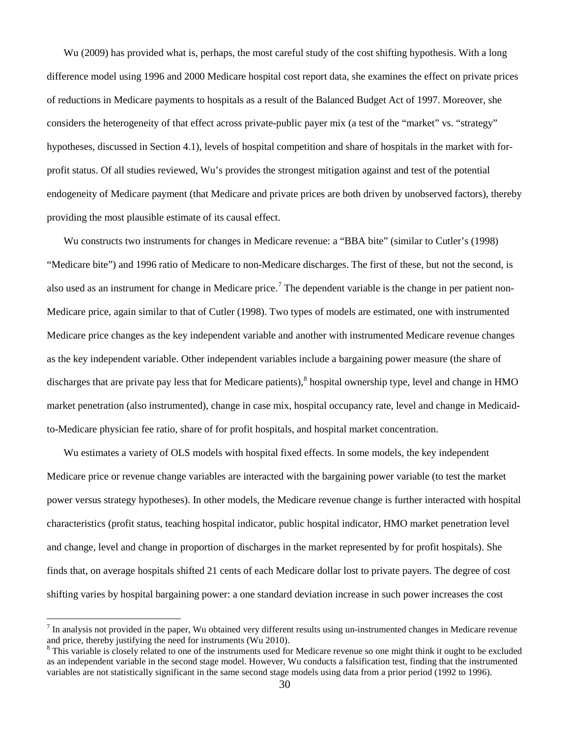Wu (2009) has provided what is, perhaps, the most careful study of the cost shifting hypothesis. With a long difference model using 1996 and 2000 Medicare hospital cost report data, she examines the effect on private prices of reductions in Medicare payments to hospitals as a result of the Balanced Budget Act of 1997. Moreover, she considers the heterogeneity of that effect across private-public payer mix (a test of the "market" vs. "strategy" hypotheses, discussed in Section 4.1), levels of hospital competition and share of hospitals in the market with forprofit status. Of all studies reviewed, Wu's provides the strongest mitigation against and test of the potential endogeneity of Medicare payment (that Medicare and private prices are both driven by unobserved factors), thereby providing the most plausible estimate of its causal effect.

Wu constructs two instruments for changes in Medicare revenue: a "BBA bite" (similar to Cutler's (1998) "Medicare bite") and 1996 ratio of Medicare to non-Medicare discharges. The first of these, but not the second, is also used as an instrument for change in Medicare price.<sup>[7](#page-29-0)</sup> The dependent variable is the change in per patient non-Medicare price, again similar to that of Cutler (1998). Two types of models are estimated, one with instrumented Medicare price changes as the key independent variable and another with instrumented Medicare revenue changes as the key independent variable. Other independent variables include a bargaining power measure (the share of discharges that are private pay less that for Medicare patients), $8$  hospital ownership type, level and change in HMO market penetration (also instrumented), change in case mix, hospital occupancy rate, level and change in Medicaidto-Medicare physician fee ratio, share of for profit hospitals, and hospital market concentration.

Wu estimates a variety of OLS models with hospital fixed effects. In some models, the key independent Medicare price or revenue change variables are interacted with the bargaining power variable (to test the market power versus strategy hypotheses). In other models, the Medicare revenue change is further interacted with hospital characteristics (profit status, teaching hospital indicator, public hospital indicator, HMO market penetration level and change, level and change in proportion of discharges in the market represented by for profit hospitals). She finds that, on average hospitals shifted 21 cents of each Medicare dollar lost to private payers. The degree of cost shifting varies by hospital bargaining power: a one standard deviation increase in such power increases the cost

<span id="page-29-0"></span> $<sup>7</sup>$  In analysis not provided in the paper, Wu obtained very different results using un-instrumented changes in Medicare revenue</sup> and price, thereby justifying the need for instruments (Wu 2010).

<span id="page-29-1"></span> $8$  This variable is closely related to one of the instruments used for Medicare revenue so one might think it ought to be excluded as an independent variable in the second stage model. However, Wu conducts a falsification test, finding that the instrumented variables are not statistically significant in the same second stage models using data from a prior period (1992 to 1996).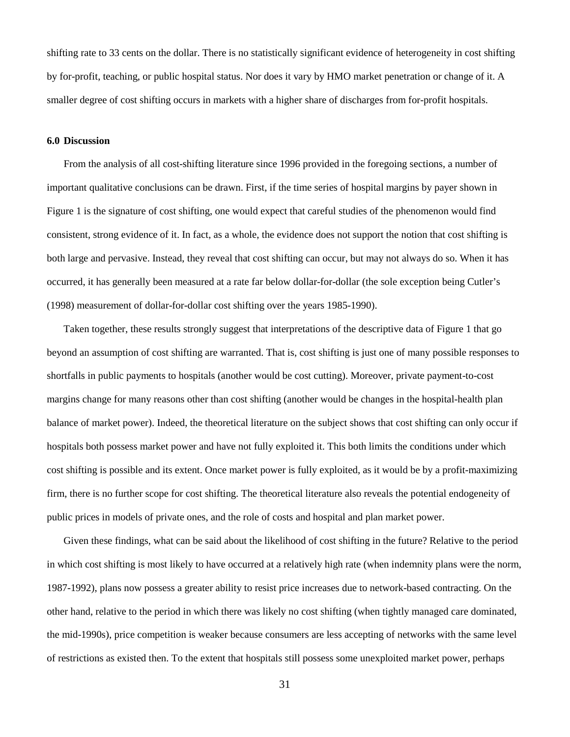shifting rate to 33 cents on the dollar. There is no statistically significant evidence of heterogeneity in cost shifting by for-profit, teaching, or public hospital status. Nor does it vary by HMO market penetration or change of it. A smaller degree of cost shifting occurs in markets with a higher share of discharges from for-profit hospitals.

#### **6.0 Discussion**

From the analysis of all cost-shifting literature since 1996 provided in the foregoing sections, a number of important qualitative conclusions can be drawn. First, if the time series of hospital margins by payer shown in Figure 1 is the signature of cost shifting, one would expect that careful studies of the phenomenon would find consistent, strong evidence of it. In fact, as a whole, the evidence does not support the notion that cost shifting is both large and pervasive. Instead, they reveal that cost shifting can occur, but may not always do so. When it has occurred, it has generally been measured at a rate far below dollar-for-dollar (the sole exception being Cutler's (1998) measurement of dollar-for-dollar cost shifting over the years 1985-1990).

Taken together, these results strongly suggest that interpretations of the descriptive data of Figure 1 that go beyond an assumption of cost shifting are warranted. That is, cost shifting is just one of many possible responses to shortfalls in public payments to hospitals (another would be cost cutting). Moreover, private payment-to-cost margins change for many reasons other than cost shifting (another would be changes in the hospital-health plan balance of market power). Indeed, the theoretical literature on the subject shows that cost shifting can only occur if hospitals both possess market power and have not fully exploited it. This both limits the conditions under which cost shifting is possible and its extent. Once market power is fully exploited, as it would be by a profit-maximizing firm, there is no further scope for cost shifting. The theoretical literature also reveals the potential endogeneity of public prices in models of private ones, and the role of costs and hospital and plan market power.

Given these findings, what can be said about the likelihood of cost shifting in the future? Relative to the period in which cost shifting is most likely to have occurred at a relatively high rate (when indemnity plans were the norm, 1987-1992), plans now possess a greater ability to resist price increases due to network-based contracting. On the other hand, relative to the period in which there was likely no cost shifting (when tightly managed care dominated, the mid-1990s), price competition is weaker because consumers are less accepting of networks with the same level of restrictions as existed then. To the extent that hospitals still possess some unexploited market power, perhaps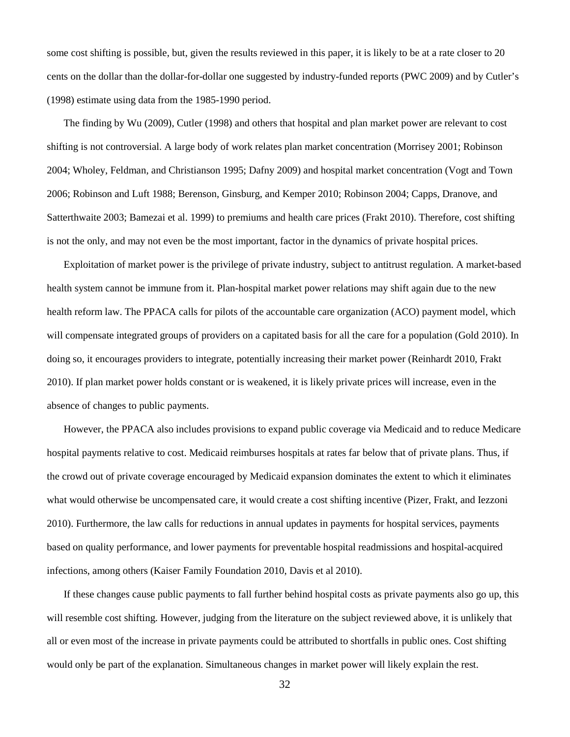some cost shifting is possible, but, given the results reviewed in this paper, it is likely to be at a rate closer to 20 cents on the dollar than the dollar-for-dollar one suggested by industry-funded reports (PWC 2009) and by Cutler's (1998) estimate using data from the 1985-1990 period.

The finding by Wu (2009), Cutler (1998) and others that hospital and plan market power are relevant to cost shifting is not controversial. A large body of work relates plan market concentration (Morrisey 2001; Robinson 2004; Wholey, Feldman, and Christianson 1995; Dafny 2009) and hospital market concentration (Vogt and Town 2006; Robinson and Luft 1988; Berenson, Ginsburg, and Kemper 2010; Robinson 2004; Capps, Dranove, and Satterthwaite 2003; Bamezai et al. 1999) to premiums and health care prices (Frakt 2010). Therefore, cost shifting is not the only, and may not even be the most important, factor in the dynamics of private hospital prices.

Exploitation of market power is the privilege of private industry, subject to antitrust regulation. A market-based health system cannot be immune from it. Plan-hospital market power relations may shift again due to the new health reform law. The PPACA calls for pilots of the accountable care organization (ACO) payment model, which will compensate integrated groups of providers on a capitated basis for all the care for a population (Gold 2010). In doing so, it encourages providers to integrate, potentially increasing their market power (Reinhardt 2010, Frakt 2010). If plan market power holds constant or is weakened, it is likely private prices will increase, even in the absence of changes to public payments.

However, the PPACA also includes provisions to expand public coverage via Medicaid and to reduce Medicare hospital payments relative to cost. Medicaid reimburses hospitals at rates far below that of private plans. Thus, if the crowd out of private coverage encouraged by Medicaid expansion dominates the extent to which it eliminates what would otherwise be uncompensated care, it would create a cost shifting incentive (Pizer, Frakt, and Iezzoni 2010). Furthermore, the law calls for reductions in annual updates in payments for hospital services, payments based on quality performance, and lower payments for preventable hospital readmissions and hospital-acquired infections, among others (Kaiser Family Foundation 2010, Davis et al 2010).

If these changes cause public payments to fall further behind hospital costs as private payments also go up, this will resemble cost shifting. However, judging from the literature on the subject reviewed above, it is unlikely that all or even most of the increase in private payments could be attributed to shortfalls in public ones. Cost shifting would only be part of the explanation. Simultaneous changes in market power will likely explain the rest.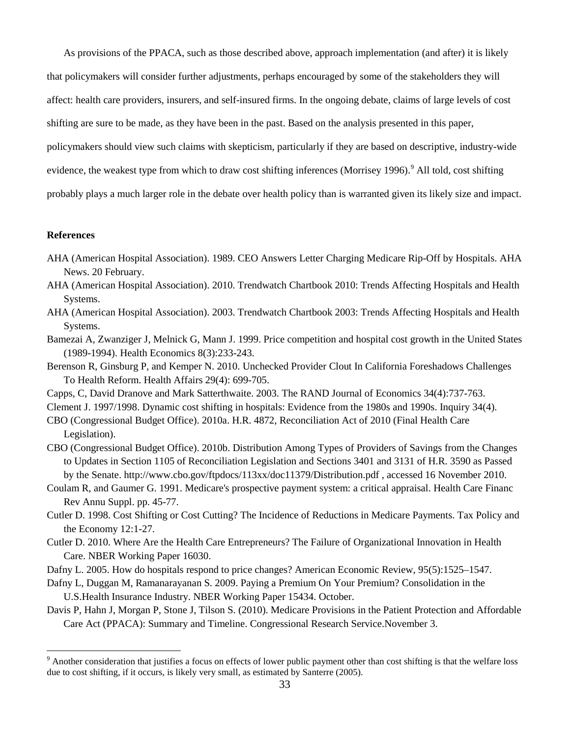As provisions of the PPACA, such as those described above, approach implementation (and after) it is likely

that policymakers will consider further adjustments, perhaps encouraged by some of the stakeholders they will

affect: health care providers, insurers, and self-insured firms. In the ongoing debate, claims of large levels of cost

shifting are sure to be made, as they have been in the past. Based on the analysis presented in this paper,

policymakers should view such claims with skepticism, particularly if they are based on descriptive, industry-wide

evidence, the weakest type from which to draw cost shifting inferences (Morrisey 1[9](#page-32-0)96).<sup>9</sup> All told, cost shifting

probably plays a much larger role in the debate over health policy than is warranted given its likely size and impact.

#### **References**

- AHA (American Hospital Association). 1989. CEO Answers Letter Charging Medicare Rip-Off by Hospitals. AHA News. 20 February.
- AHA (American Hospital Association). 2010. Trendwatch Chartbook 2010: Trends Affecting Hospitals and Health Systems.
- AHA (American Hospital Association). 2003. Trendwatch Chartbook 2003: Trends Affecting Hospitals and Health Systems.
- Bamezai A, Zwanziger J, Melnick G, Mann J. 1999. Price competition and hospital cost growth in the United States (1989-1994). Health Economics 8(3):233-243.
- Berenson R, Ginsburg P, and Kemper N. 2010. Unchecked Provider Clout In California Foreshadows Challenges To Health Reform. Health Affairs 29(4): 699-705.
- Capps, C, David Dranove and Mark Satterthwaite. 2003. The RAND Journal of Economics 34(4):737-763.

Clement J. 1997/1998. Dynamic cost shifting in hospitals: Evidence from the 1980s and 1990s. Inquiry 34(4).

- CBO (Congressional Budget Office). 2010a. H.R. 4872, Reconciliation Act of 2010 (Final Health Care Legislation).
- CBO (Congressional Budget Office). 2010b. Distribution Among Types of Providers of Savings from the Changes to Updates in Section 1105 of Reconciliation Legislation and Sections 3401 and 3131 of H.R. 3590 as Passed by the Senate. http://www.cbo.gov/ftpdocs/113xx/doc11379/Distribution.pdf , accessed 16 November 2010.
- Coulam R, and Gaumer G. 1991. Medicare's prospective payment system: a critical appraisal. Health Care Financ Rev Annu Suppl. pp. 45-77.
- Cutler D. 1998. Cost Shifting or Cost Cutting? The Incidence of Reductions in Medicare Payments. Tax Policy and the Economy 12:1-27.
- Cutler D. 2010. Where Are the Health Care Entrepreneurs? The Failure of Organizational Innovation in Health Care. NBER Working Paper 16030.
- Dafny L. 2005. How do hospitals respond to price changes? American Economic Review, 95(5):1525–1547.
- Dafny L, Duggan M, Ramanarayanan S. 2009. Paying a Premium On Your Premium? Consolidation in the U.S.Health Insurance Industry. NBER Working Paper 15434. October.
- Davis P, Hahn J, Morgan P, Stone J, Tilson S. (2010). Medicare Provisions in the Patient Protection and Affordable Care Act (PPACA): Summary and Timeline. Congressional Research Service.November 3.

<span id="page-32-0"></span><sup>&</sup>lt;sup>9</sup> Another consideration that justifies a focus on effects of lower public payment other than cost shifting is that the welfare loss due to cost shifting, if it occurs, is likely very small, as estimated by Santerre (2005).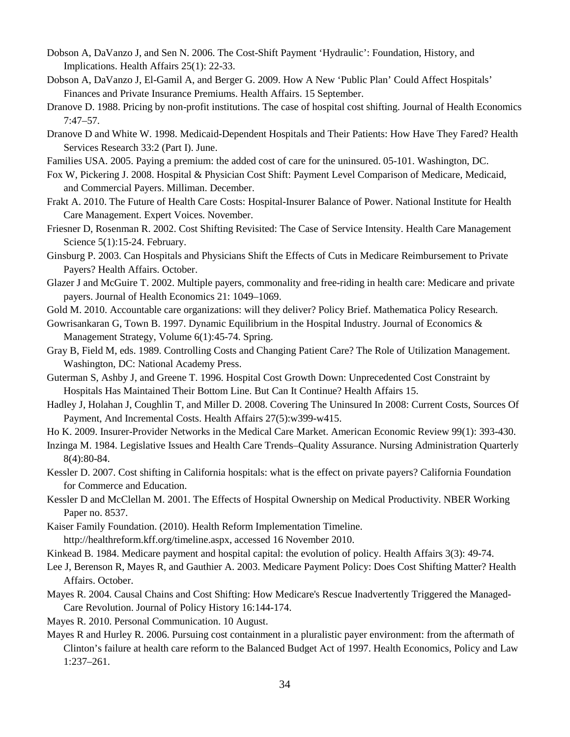- Dobson A, DaVanzo J, and Sen N. 2006. The Cost-Shift Payment 'Hydraulic': Foundation, History, and Implications. Health Affairs 25(1): 22-33.
- Dobson A, DaVanzo J, El-Gamil A, and Berger G. 2009. How A New 'Public Plan' Could Affect Hospitals' Finances and Private Insurance Premiums. Health Affairs. 15 September.
- Dranove D. 1988. Pricing by non-profit institutions. The case of hospital cost shifting. Journal of Health Economics 7:47–57.
- Dranove D and White W. 1998. Medicaid-Dependent Hospitals and Their Patients: How Have They Fared? Health Services Research 33:2 (Part I). June.
- Families USA. 2005. Paying a premium: the added cost of care for the uninsured. 05-101. Washington, DC.
- Fox W, Pickering J. 2008. Hospital & Physician Cost Shift: Payment Level Comparison of Medicare, Medicaid, and Commercial Payers. Milliman. December.
- Frakt A. 2010. The Future of Health Care Costs: Hospital-Insurer Balance of Power. National Institute for Health Care Management. Expert Voices. November.
- Friesner D, Rosenman R. 2002. Cost Shifting Revisited: The Case of Service Intensity. Health Care Management Science 5(1):15-24. February.
- Ginsburg P. 2003. Can Hospitals and Physicians Shift the Effects of Cuts in Medicare Reimbursement to Private Payers? Health Affairs. October.
- Glazer J and McGuire T. 2002. Multiple payers, commonality and free-riding in health care: Medicare and private payers. Journal of Health Economics 21: 1049–1069.
- Gold M. 2010. Accountable care organizations: will they deliver? Policy Brief. Mathematica Policy Research.
- Gowrisankaran G, Town B. 1997. Dynamic Equilibrium in the Hospital Industry. Journal of Economics & Management Strategy, Volume 6(1):45-74. Spring.
- Gray B, Field M, eds. 1989. Controlling Costs and Changing Patient Care? The Role of Utilization Management. Washington, DC: National Academy Press.
- Guterman S, Ashby J, and Greene T. 1996. Hospital Cost Growth Down: Unprecedented Cost Constraint by Hospitals Has Maintained Their Bottom Line. But Can It Continue? Health Affairs 15.
- Hadley J, Holahan J, Coughlin T, and Miller D. 2008. Covering The Uninsured In 2008: Current Costs, Sources Of Payment, And Incremental Costs. Health Affairs 27(5):w399-w415.
- Ho K. 2009. Insurer-Provider Networks in the Medical Care Market. American Economic Review 99(1): 393-430.
- Inzinga M. 1984. Legislative Issues and Health Care Trends–Quality Assurance. Nursing Administration Quarterly 8(4):80-84.
- Kessler D. 2007. Cost shifting in California hospitals: what is the effect on private payers? California Foundation for Commerce and Education.
- Kessler D and McClellan M. 2001. The Effects of Hospital Ownership on Medical Productivity. NBER Working Paper no. 8537.
- Kaiser Family Foundation. (2010). Health Reform Implementation Timeline.

http://healthreform.kff.org/timeline.aspx, accessed 16 November 2010.

- Kinkead B. 1984. Medicare payment and hospital capital: the evolution of policy. Health Affairs 3(3): 49-74.
- Lee J, Berenson R, Mayes R, and Gauthier A. 2003. Medicare Payment Policy: Does Cost Shifting Matter? Health Affairs. October.
- Mayes R. 2004. Causal Chains and Cost Shifting: How Medicare's Rescue Inadvertently Triggered the Managed-Care Revolution. Journal of Policy History 16:144-174.
- Mayes R. 2010. Personal Communication. 10 August.
- Mayes R and Hurley R. 2006. Pursuing cost containment in a pluralistic payer environment: from the aftermath of Clinton's failure at health care reform to the Balanced Budget Act of 1997. Health Economics, Policy and Law 1:237–261.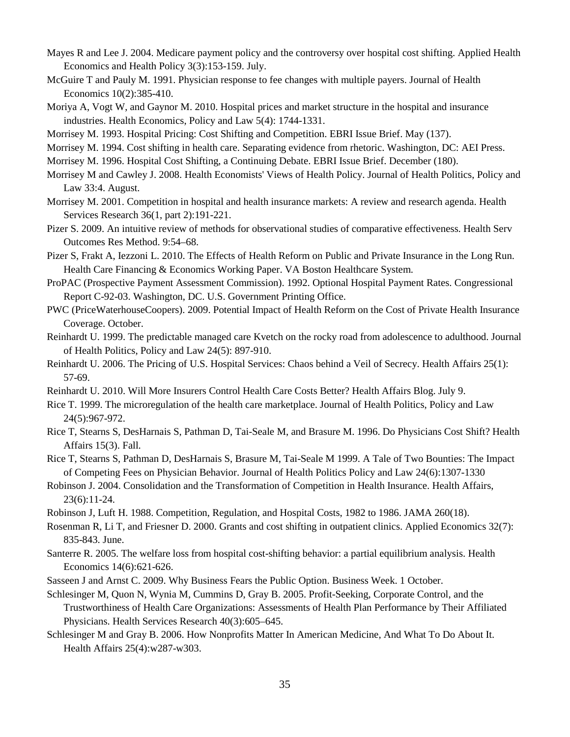- Mayes R and Lee J. 2004. Medicare payment policy and the controversy over hospital cost shifting. Applied Health Economics and Health Policy 3(3):153-159. July.
- McGuire T and Pauly M. 1991. Physician response to fee changes with multiple payers. Journal of Health Economics 10(2):385-410.
- Moriya A, Vogt W, and Gaynor M. 2010. Hospital prices and market structure in the hospital and insurance industries. Health Economics, Policy and Law 5(4): 1744-1331.
- Morrisey M. 1993. Hospital Pricing: Cost Shifting and Competition. EBRI Issue Brief. May (137).
- Morrisey M. 1994. Cost shifting in health care. Separating evidence from rhetoric. Washington, DC: AEI Press.
- Morrisey M. 1996. Hospital Cost Shifting, a Continuing Debate. EBRI Issue Brief. December (180).
- Morrisey M and Cawley J. 2008. Health Economists' Views of Health Policy. Journal of Health Politics, Policy and Law 33:4. August.
- Morrisey M. 2001. Competition in hospital and health insurance markets: A review and research agenda. Health Services Research 36(1, part 2):191-221.
- Pizer S. 2009. An intuitive review of methods for observational studies of comparative effectiveness. Health Serv Outcomes Res Method. 9:54–68.
- Pizer S, Frakt A, Iezzoni L. 2010. The Effects of Health Reform on Public and Private Insurance in the Long Run. Health Care Financing & Economics Working Paper. VA Boston Healthcare System.
- ProPAC (Prospective Payment Assessment Commission). 1992. Optional Hospital Payment Rates. Congressional Report C-92-03. Washington, DC. U.S. Government Printing Office.
- PWC (PriceWaterhouseCoopers). 2009. Potential Impact of Health Reform on the Cost of Private Health Insurance Coverage. October.
- Reinhardt U. 1999. The predictable managed care Kvetch on the rocky road from adolescence to adulthood. Journal of Health Politics, Policy and Law 24(5): 897-910.
- Reinhardt U. 2006. The Pricing of U.S. Hospital Services: Chaos behind a Veil of Secrecy. Health Affairs 25(1): 57-69.
- Reinhardt U. 2010. Will More Insurers Control Health Care Costs Better? Health Affairs Blog. July 9.
- Rice T. 1999. The microregulation of the health care marketplace. Journal of Health Politics, Policy and Law 24(5):967-972.
- Rice T, Stearns S, DesHarnais S, Pathman D, Tai-Seale M, and Brasure M. 1996. Do Physicians Cost Shift? Health Affairs 15(3). Fall.
- Rice T, Stearns S, Pathman D, DesHarnais S, Brasure M, Tai-Seale M 1999. A Tale of Two Bounties: The Impact of Competing Fees on Physician Behavior. Journal of Health Politics Policy and Law 24(6):1307-1330
- Robinson J. 2004. Consolidation and the Transformation of Competition in Health Insurance. Health Affairs, 23(6):11-24.
- Robinson J, Luft H. 1988. Competition, Regulation, and Hospital Costs, 1982 to 1986. JAMA 260(18).
- Rosenman R, Li T, and Friesner D. 2000. Grants and cost shifting in outpatient clinics. Applied Economics 32(7): 835-843. June.
- Santerre R. 2005. The welfare loss from hospital cost-shifting behavior: a partial equilibrium analysis. Health Economics 14(6):621-626.
- Sasseen J and Arnst C. 2009. Why Business Fears the Public Option. Business Week. 1 October.
- Schlesinger M, Quon N, Wynia M, Cummins D, Gray B. 2005. Profit-Seeking, Corporate Control, and the Trustworthiness of Health Care Organizations: Assessments of Health Plan Performance by Their Affiliated Physicians. Health Services Research 40(3):605–645.
- Schlesinger M and Gray B. 2006. How Nonprofits Matter In American Medicine, And What To Do About It. Health Affairs 25(4):w287-w303.